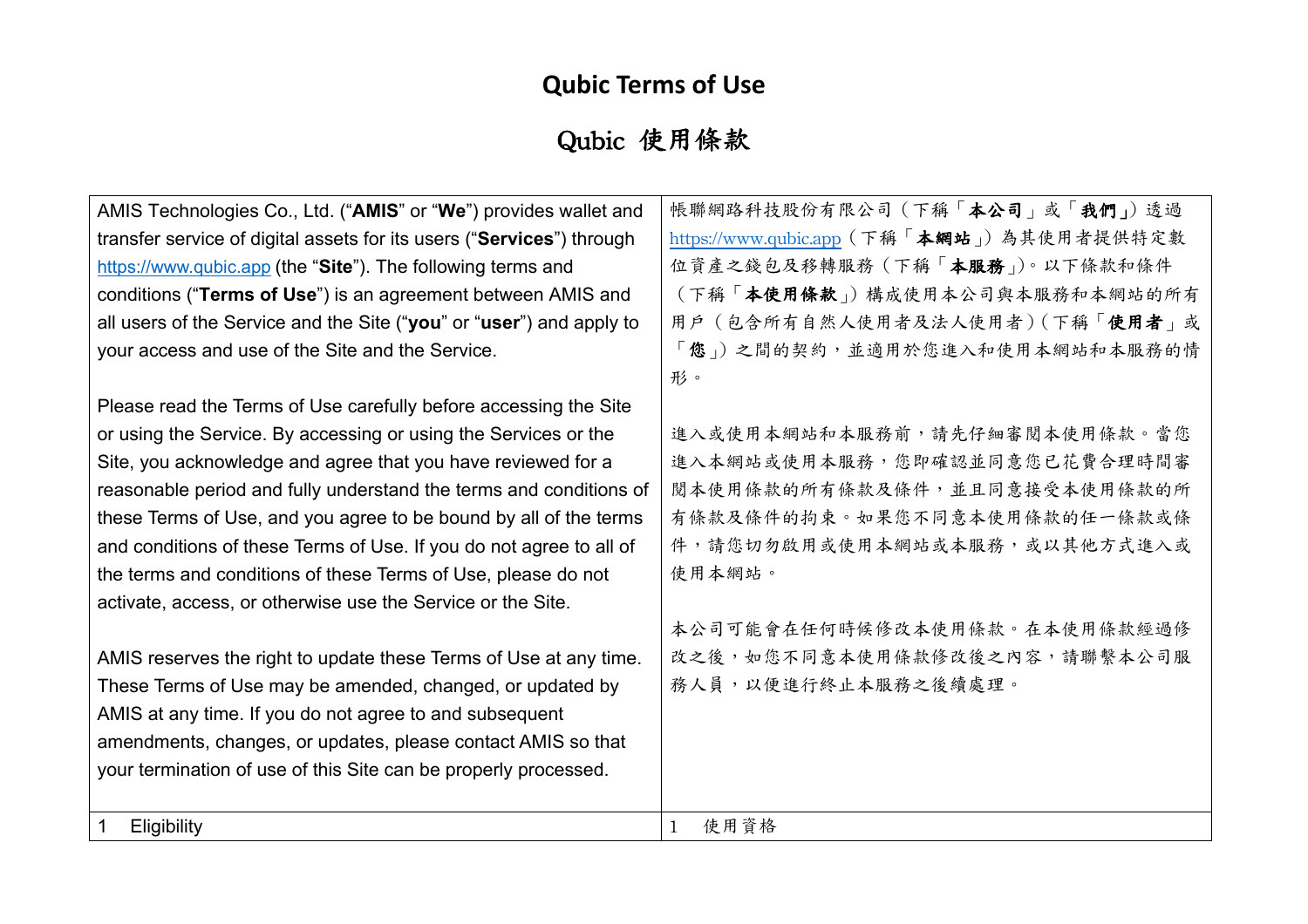# **Qubic Terms of Use**

# Qubic 使用條款

| AMIS Technologies Co., Ltd. ("AMIS" or "We") provides wallet and      | 帳聯網路科技股份有限公司(下稱「本公司」或「我們」)透過              |
|-----------------------------------------------------------------------|-------------------------------------------|
| transfer service of digital assets for its users ("Services") through | https://www.qubic.app (下稱「本網站」)為其使用者提供特定數 |
| https://www.qubic.app (the "Site"). The following terms and           | 位資產之錢包及移轉服務 (下稱「本服務」)。以下條款和條件             |
| conditions ("Terms of Use") is an agreement between AMIS and          | (下稱「本使用條款」)構成使用本公司與本服務和本網站的所有             |
| all users of the Service and the Site ("you" or "user") and apply to  | 用户 (包含所有自然人使用者及法人使用者) (下稱「使用者」或           |
| your access and use of the Site and the Service.                      | 「您」)之間的契約,並適用於您進入和使用本網站和本服務的情             |
|                                                                       | 形。                                        |
| Please read the Terms of Use carefully before accessing the Site      |                                           |
| or using the Service. By accessing or using the Services or the       | 進入或使用本網站和本服務前,請先仔細審閱本使用條款。當您              |
| Site, you acknowledge and agree that you have reviewed for a          | 進入本網站或使用本服務,您即確認並同意您已花費合理時間審              |
| reasonable period and fully understand the terms and conditions of    | 閱本使用條款的所有條款及條件,並且同意接受本使用條款的所              |
| these Terms of Use, and you agree to be bound by all of the terms     | 有條款及條件的拘束。如果您不同意本使用條款的任一條款或條              |
| and conditions of these Terms of Use. If you do not agree to all of   | 件,請您切勿啟用或使用本網站或本服務,或以其他方式進入或              |
| the terms and conditions of these Terms of Use, please do not         | 使用本網站。                                    |
| activate, access, or otherwise use the Service or the Site.           |                                           |
|                                                                       | 本公司可能會在任何時候修改本使用條款。在本使用條款經過修              |
| AMIS reserves the right to update these Terms of Use at any time.     | 改之後,如您不同意本使用條款修改後之內容,請聯繫本公司服              |
| These Terms of Use may be amended, changed, or updated by             | 務人員,以便進行終止本服務之後續處理。                       |
| AMIS at any time. If you do not agree to and subsequent               |                                           |
| amendments, changes, or updates, please contact AMIS so that          |                                           |
| your termination of use of this Site can be properly processed.       |                                           |
|                                                                       |                                           |
| Eligibility                                                           | 使用資格                                      |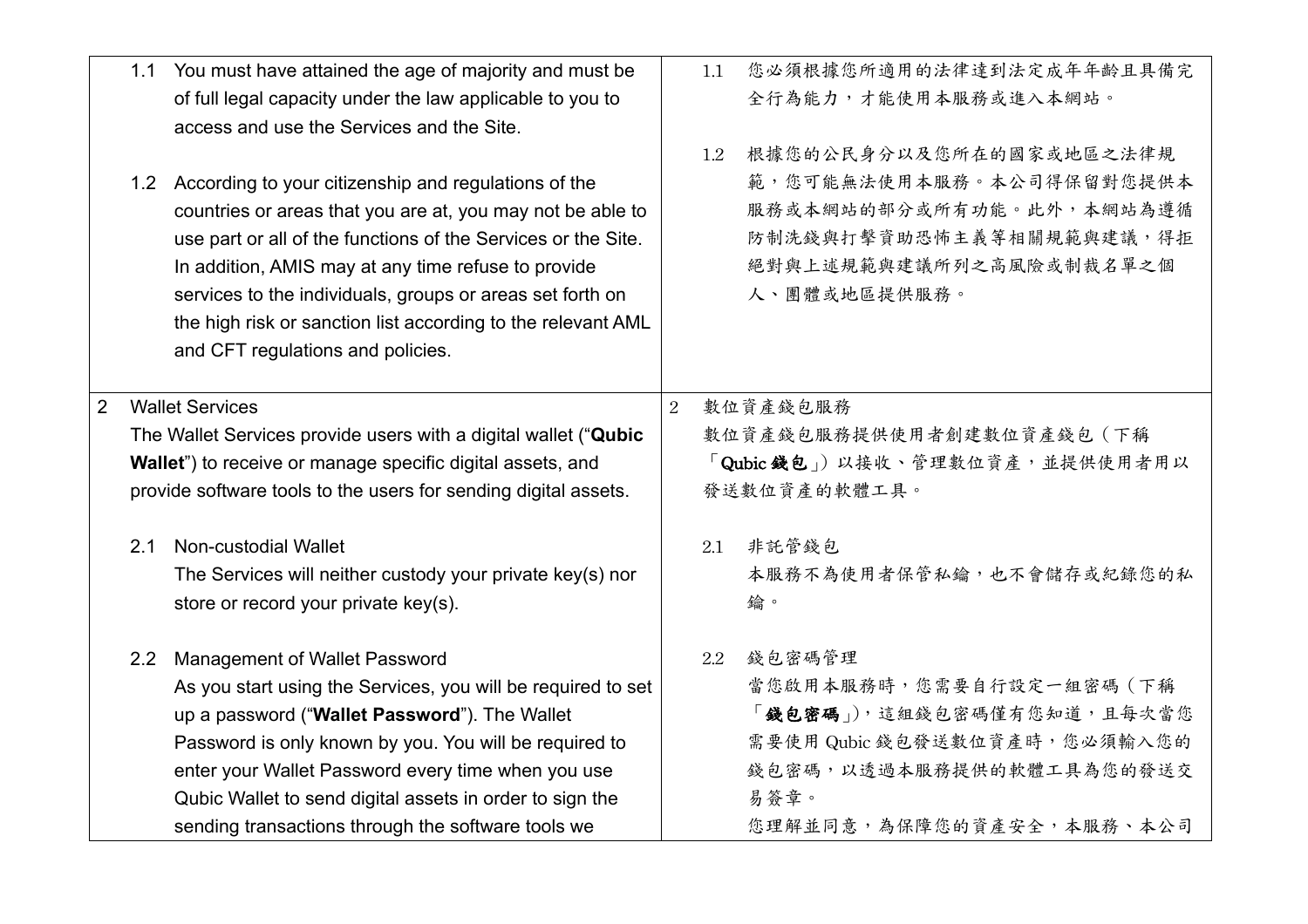|                |                                                            | 1.1 You must have attained the age of majority and must be<br>of full legal capacity under the law applicable to you to<br>access and use the Services and the Site.<br>1.2 According to your citizenship and regulations of the<br>countries or areas that you are at, you may not be able to<br>use part or all of the functions of the Services or the Site.<br>In addition, AMIS may at any time refuse to provide |                                | 1.1<br>1.2 | 您必須根據您所適用的法律達到法定成年年齡且具備完<br>全行為能力,才能使用本服務或進入本網站。<br>根據您的公民身分以及您所在的國家或地區之法律規<br>範,您可能無法使用本服務。本公司得保留對您提供本<br>服務或本網站的部分或所有功能。此外,本網站為遵循<br>防制洗錢與打擊資助恐怖主義等相關規範與建議,得拒<br>絕對與上述規範與建議所列之高風險或制裁名單之個 |  |
|----------------|------------------------------------------------------------|------------------------------------------------------------------------------------------------------------------------------------------------------------------------------------------------------------------------------------------------------------------------------------------------------------------------------------------------------------------------------------------------------------------------|--------------------------------|------------|--------------------------------------------------------------------------------------------------------------------------------------------------------------------------------------------|--|
|                |                                                            | services to the individuals, groups or areas set forth on<br>the high risk or sanction list according to the relevant AML<br>and CFT regulations and policies.                                                                                                                                                                                                                                                         |                                |            | 人、團體或地區提供服務。                                                                                                                                                                               |  |
| $\overline{2}$ |                                                            | <b>Wallet Services</b>                                                                                                                                                                                                                                                                                                                                                                                                 | 2                              |            | 數位資產錢包服務                                                                                                                                                                                   |  |
|                |                                                            | The Wallet Services provide users with a digital wallet ("Qubic                                                                                                                                                                                                                                                                                                                                                        |                                |            | 數位資產錢包服務提供使用者創建數位資產錢包(下稱                                                                                                                                                                   |  |
|                | Wallet") to receive or manage specific digital assets, and |                                                                                                                                                                                                                                                                                                                                                                                                                        | 「Qubic 錢包」)以接收、管理數位資產,並提供使用者用以 |            |                                                                                                                                                                                            |  |
|                |                                                            | provide software tools to the users for sending digital assets.                                                                                                                                                                                                                                                                                                                                                        |                                |            | 發送數位資產的軟體工具。                                                                                                                                                                               |  |
|                | 2.1                                                        | Non-custodial Wallet                                                                                                                                                                                                                                                                                                                                                                                                   |                                | 2.1        | 非託管錢包                                                                                                                                                                                      |  |
|                |                                                            | The Services will neither custody your private key(s) nor                                                                                                                                                                                                                                                                                                                                                              |                                |            | 本服務不為使用者保管私鑰,也不會儲存或紀錄您的私                                                                                                                                                                   |  |
|                |                                                            | store or record your private key(s).                                                                                                                                                                                                                                                                                                                                                                                   |                                |            | 鑰。                                                                                                                                                                                         |  |
|                | 2.2                                                        | <b>Management of Wallet Password</b>                                                                                                                                                                                                                                                                                                                                                                                   |                                | 2.2        | 錢包密碼管理                                                                                                                                                                                     |  |
|                |                                                            | As you start using the Services, you will be required to set                                                                                                                                                                                                                                                                                                                                                           |                                |            | 當您啟用本服務時,您需要自行設定一組密碼(下稱                                                                                                                                                                    |  |
|                |                                                            | up a password ("Wallet Password"). The Wallet                                                                                                                                                                                                                                                                                                                                                                          |                                |            | 「錢包密碼」),這組錢包密碼僅有您知道,且每次當您                                                                                                                                                                  |  |
|                |                                                            | Password is only known by you. You will be required to                                                                                                                                                                                                                                                                                                                                                                 |                                |            | 需要使用 Qubic 錢包發送數位資產時,您必須輸入您的                                                                                                                                                               |  |
|                |                                                            | enter your Wallet Password every time when you use                                                                                                                                                                                                                                                                                                                                                                     |                                |            | 錢包密碼,以透過本服務提供的軟體工具為您的發送交                                                                                                                                                                   |  |
|                |                                                            | Qubic Wallet to send digital assets in order to sign the                                                                                                                                                                                                                                                                                                                                                               |                                |            | 易簽章。                                                                                                                                                                                       |  |
|                |                                                            | sending transactions through the software tools we                                                                                                                                                                                                                                                                                                                                                                     |                                |            | 您理解並同意,為保障您的資產安全,本服務、本公司                                                                                                                                                                   |  |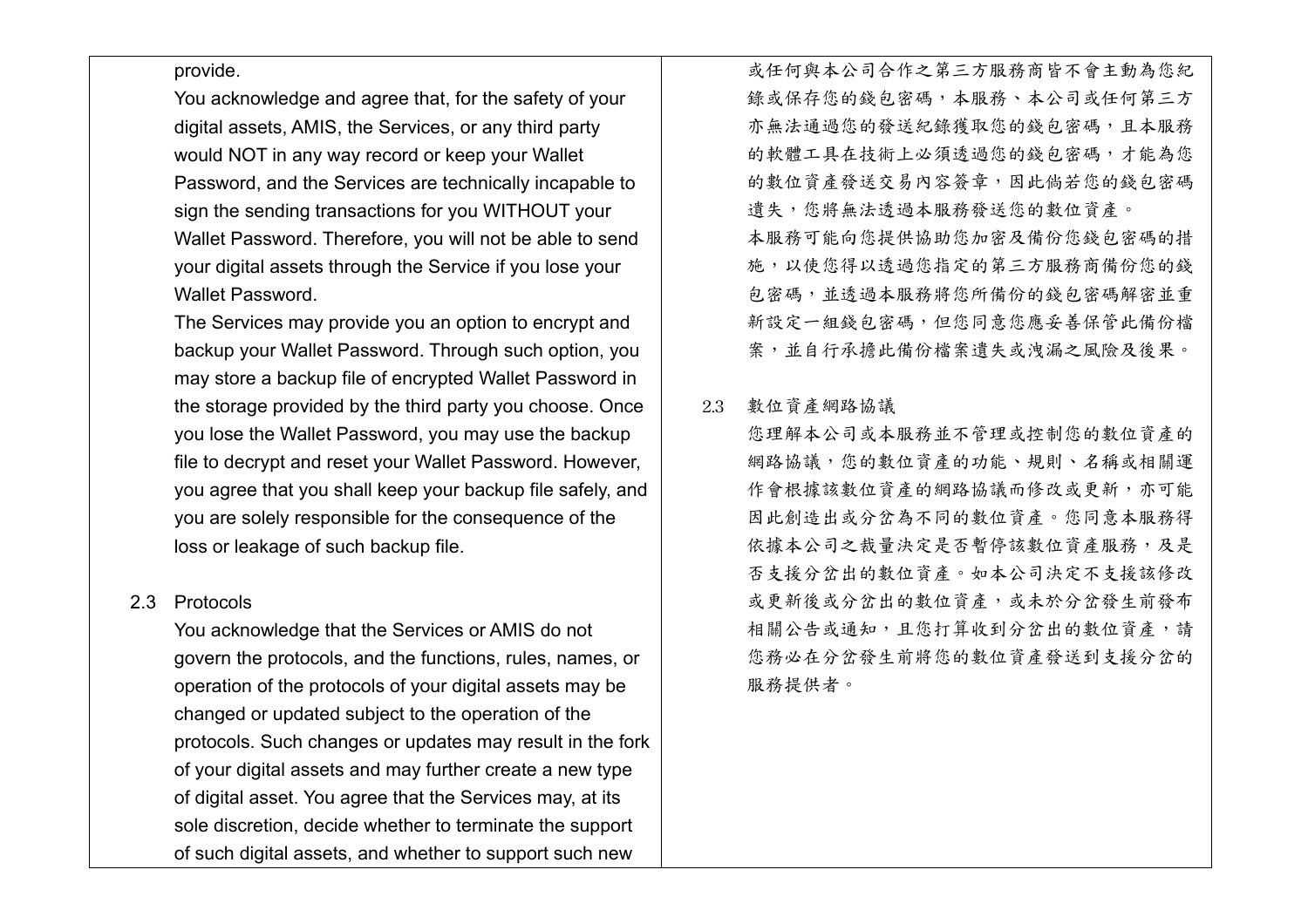#### provide.

You acknowledge and agree that, for the safety of your digital assets, AMIS, the Services, or any third party would NOT in any way record or keep your Wallet Password, and the Services are technically incapable to sign the sending transactions for you WITHOUT your Wallet Password. Therefore, you will not be able to send your digital assets through the Service if you lose your Wallet Password.

The Services may provide you an option to encrypt and backup your Wallet Password. Through such option, you may store a backup file of encrypted Wallet Password in the storage provided by the third party you choose. Once you lose the Wallet Password, you may use the backup file to decrypt and reset your Wallet Password. However, you agree that you shall keep your backup file safely, and you are solely responsible for the consequence of the loss or leakage of such backup file.

## 2.3 Protocols

You acknowledge that the Services or AMIS do not govern the protocols, and the functions, rules, names, or operation of the protocols of your digital assets may be changed or updated subject to the operation of the protocols. Such changes or updates may result in the fork of your digital assets and may further create a new type of digital asset. You agree that the Services may, at its sole discretion, decide whether to terminate the support of such digital assets, and whether to support such new

或任何與本公司合作之第三方服務商皆不會主動為您紀 錄或保存您的錢包密碼,本服務、本公司或任何第三方 亦無法通過您的發送紀錄獲取您的錢包密碼,且本服務 的軟體工具在技術上必須透過您的錢包密碼,才能為您 的數位資產發送交易內容簽章,因此倘若您的錢包密碼 遺失,您將無法透過本服務發送您的數位資產。 本服務可能向您提供協助您加密及備份您錢包密碼的措 施,以使您得以透過您指定的第三方服務商備份您的錢 包密碼,並透過本服務將您所備份的錢包密碼解密並重 新設定一組錢包密碼,但您同意您應妥善保管此備份檔 案,並自行承擔此備份檔案遺失或洩漏之風險及後果。

#### 2.3 數位資產網路協議

您理解本公司或本服務並不管理或控制您的數位資產的 網路協議,您的數位資產的功能、規則、名稱或相關運 作會根據該數位資產的網路協議而修改或更新,亦可能 因此創造出或分岔為不同的數位資產。您同意本服務得 依據本公司之裁量決定是否暫停該數位資產服務,及是 否支援分岔出的數位資產。如本公司決定不支援該修改 或更新後或分岔出的數位資產,或未於分岔發生前發布 相關公告或通知,且您打算收到分岔出的數位資產,請 您務必在分岔發生前將您的數位資產發送到支援分岔的 服務提供者。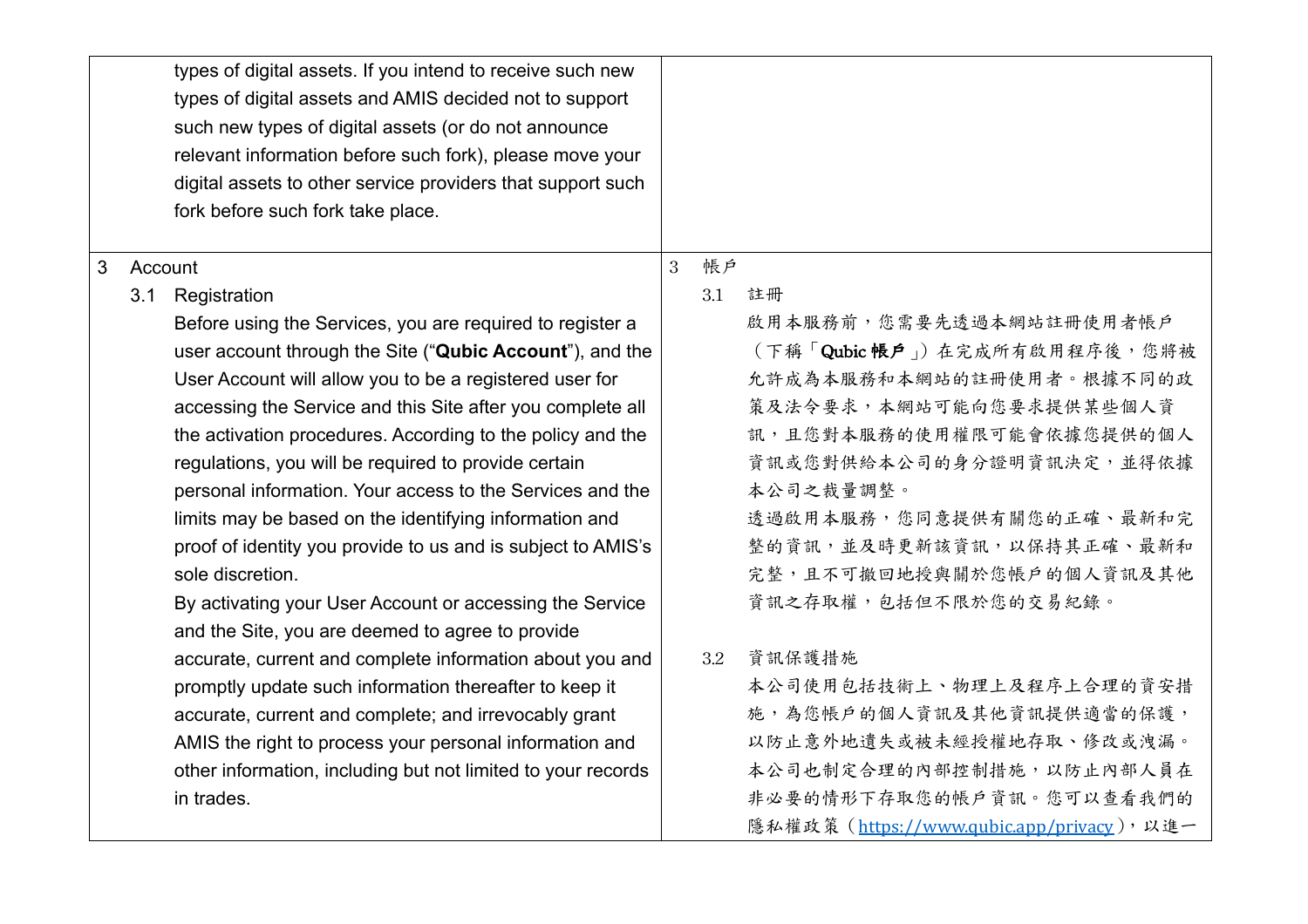|   | types of digital assets. If you intend to receive such new<br>types of digital assets and AMIS decided not to support<br>such new types of digital assets (or do not announce<br>relevant information before such fork), please move your<br>digital assets to other service providers that support such<br>fork before such fork take place. |   |     |                                            |
|---|-----------------------------------------------------------------------------------------------------------------------------------------------------------------------------------------------------------------------------------------------------------------------------------------------------------------------------------------------|---|-----|--------------------------------------------|
| 3 | Account                                                                                                                                                                                                                                                                                                                                       | 3 | 帳戶  |                                            |
|   | 3.1 Registration                                                                                                                                                                                                                                                                                                                              |   | 3.1 | 註冊                                         |
|   | Before using the Services, you are required to register a                                                                                                                                                                                                                                                                                     |   |     | 啟用本服務前,您需要先透過本網站註冊使用者帳戶                    |
|   | user account through the Site ("Qubic Account"), and the                                                                                                                                                                                                                                                                                      |   |     | (下稱「Qubic帳戶」)在完成所有啟用程序後,您將被                |
|   | User Account will allow you to be a registered user for                                                                                                                                                                                                                                                                                       |   |     | 允許成為本服務和本網站的註冊使用者。根據不同的政                   |
|   | accessing the Service and this Site after you complete all                                                                                                                                                                                                                                                                                    |   |     | 策及法令要求,本網站可能向您要求提供某些個人資                    |
|   | the activation procedures. According to the policy and the                                                                                                                                                                                                                                                                                    |   |     | 訊,且您對本服務的使用權限可能會依據您提供的個人                   |
|   | regulations, you will be required to provide certain                                                                                                                                                                                                                                                                                          |   |     | 資訊或您對供給本公司的身分證明資訊決定,並得依據                   |
|   | personal information. Your access to the Services and the                                                                                                                                                                                                                                                                                     |   |     | 本公司之裁量調整。                                  |
|   | limits may be based on the identifying information and                                                                                                                                                                                                                                                                                        |   |     | 透過啟用本服務,您同意提供有關您的正確、最新和完                   |
|   | proof of identity you provide to us and is subject to AMIS's                                                                                                                                                                                                                                                                                  |   |     | 整的資訊,並及時更新該資訊,以保持其正確、最新和                   |
|   | sole discretion.                                                                                                                                                                                                                                                                                                                              |   |     | 完整,且不可撤回地授與關於您帳戶的個人資訊及其他                   |
|   | By activating your User Account or accessing the Service                                                                                                                                                                                                                                                                                      |   |     | 資訊之存取權,包括但不限於您的交易紀錄。                       |
|   | and the Site, you are deemed to agree to provide                                                                                                                                                                                                                                                                                              |   |     |                                            |
|   | accurate, current and complete information about you and                                                                                                                                                                                                                                                                                      |   | 3.2 | 資訊保護措施                                     |
|   | promptly update such information thereafter to keep it                                                                                                                                                                                                                                                                                        |   |     | 本公司使用包括技術上、物理上及程序上合理的資安措                   |
|   | accurate, current and complete; and irrevocably grant                                                                                                                                                                                                                                                                                         |   |     | 施,為您帳戶的個人資訊及其他資訊提供適當的保護,                   |
|   | AMIS the right to process your personal information and                                                                                                                                                                                                                                                                                       |   |     | 以防止意外地遺失或被未經授權地存取、修改或洩漏。                   |
|   | other information, including but not limited to your records                                                                                                                                                                                                                                                                                  |   |     | 本公司也制定合理的內部控制措施,以防止內部人員在                   |
|   | in trades.                                                                                                                                                                                                                                                                                                                                    |   |     | 非必要的情形下存取您的帳戶資訊。您可以查看我們的                   |
|   |                                                                                                                                                                                                                                                                                                                                               |   |     | 隱私權政策 (https://www.qubic.app/privacy), 以進一 |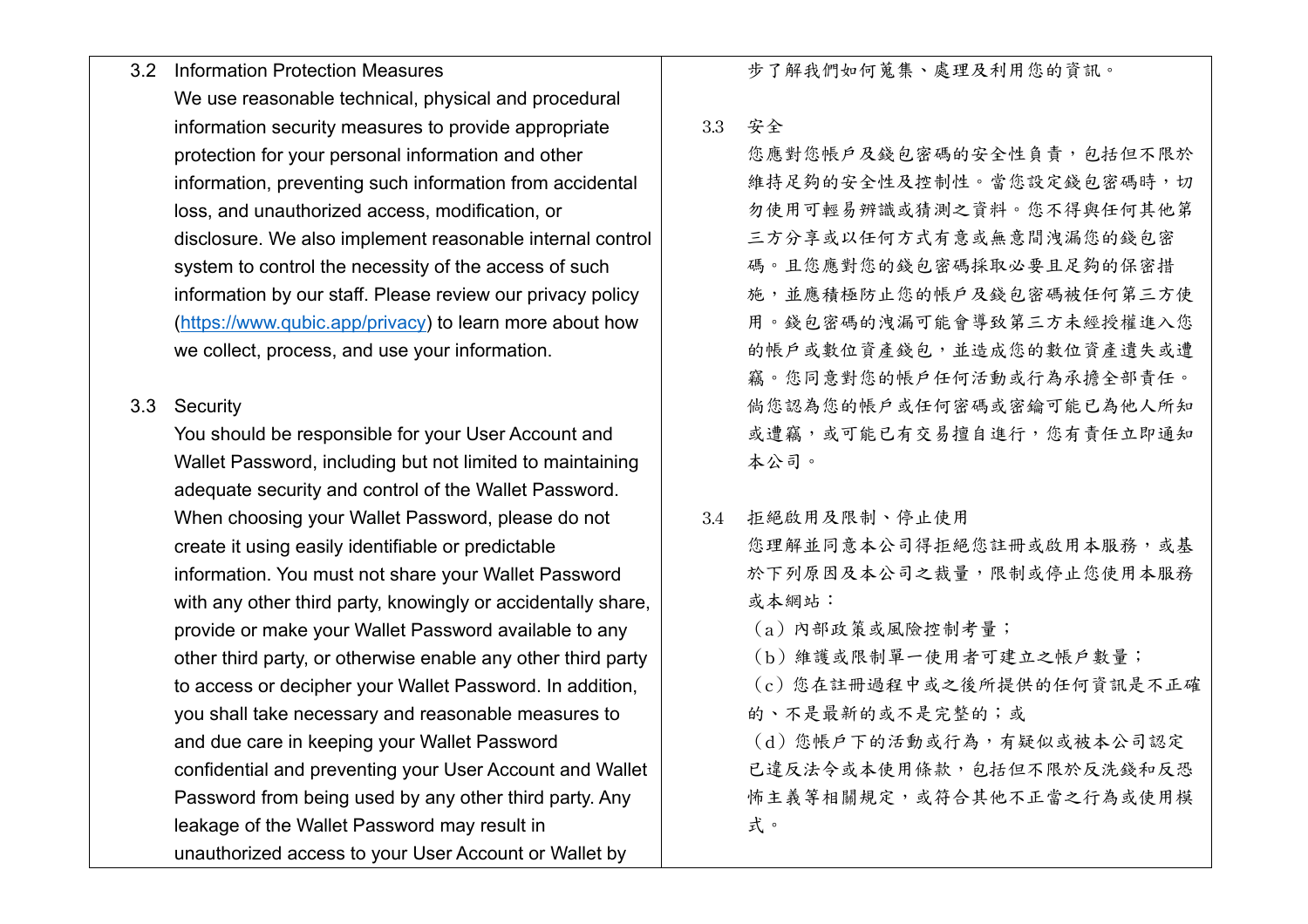- 3.2 Information Protection Measures We use reasonable technical, physical and procedural information security measures to provide appropriate protection for your personal information and other information, preventing such information from accidental loss, and unauthorized access, modification, or disclosure. We also implement reasonable internal control system to control the necessity of the access of such information by our staff. Please review our privacy policy (https://www.qubic.app/privacy) to learn more about how we collect, process, and use your information.
- 3.3 Security

You should be responsible for your User Account and Wallet Password, including but not limited to maintaining adequate security and control of the Wallet Password. When choosing your Wallet Password, please do not create it using easily identifiable or predictable information. You must not share your Wallet Password with any other third party, knowingly or accidentally share, provide or make your Wallet Password available to any other third party, or otherwise enable any other third party to access or decipher your Wallet Password. In addition, you shall take necessary and reasonable measures to and due care in keeping your Wallet Password confidential and preventing your User Account and Wallet Password from being used by any other third party. Any leakage of the Wallet Password may result in unauthorized access to your User Account or Wallet by

步了解我們如何蒐集、處理及利用您的資訊。

3.3 安全

您應對您帳戶及錢包密碼的安全性負責,包括但不限於 維持足夠的安全性及控制性。當您設定錢包密碼時,切 勿使用可輕易辨識或猜測之資料。您不得與任何其他第 三方分享或以任何方式有意或無意間洩漏您的錢包密 碼。且您應對您的錢包密碼採取必要且足夠的保密措 施,並應積極防止您的帳戶及錢包密碼被任何第三方使 用。錢包密碼的洩漏可能會導致第三方未經授權進入您 的帳戶或數位資產錢包,並造成您的數位資產遺失或遭 竊。您同意對您的帳戶任何活動或行為承擔全部責任。 倘您認為您的帳戶或任何密碼或密鑰可能已為他人所知 或遭竊,或可能已有交易擅自進行,您有責任立即通知 本公司。

3.4 拒絕啟用及限制、停止使用 您理解並同意本公司得拒絕您註冊或啟用本服務,或基 於下列原因及本公司之裁量,限制或停止您使用本服務 或本網站:

(a)內部政策或風險控制考量;

(b)維護或限制單一使用者可建立之帳戶數量;

(c)您在註冊過程中或之後所提供的任何資訊是不正確 的、不是最新的或不是完整的;或

(d)您帳戶下的活動或行為,有疑似或被本公司認定 已違反法令或本使用條款,包括但不限於反洗錢和反恐 怖主義等相關規定,或符合其他不正當之行為或使用模 式。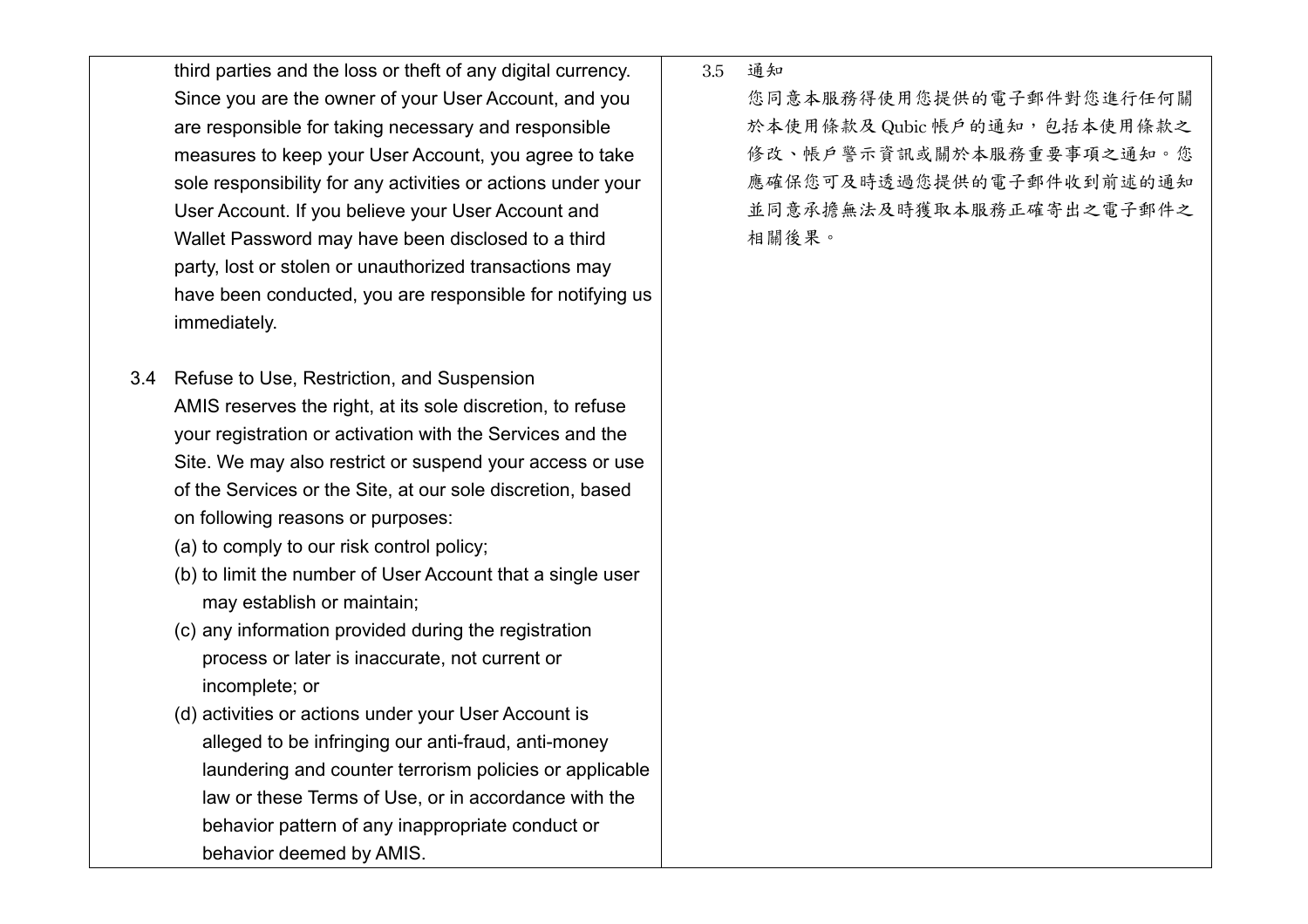third parties and the loss or theft of any digital currency. Since you are the owner of your User Account, and you are responsible for taking necessary and responsible measures to keep your User Account, you agree to take sole responsibility for any activities or actions under your User Account. If you believe your User Account and Wallet Password may have been disclosed to a third party, lost or stolen or unauthorized transactions may have been conducted, you are responsible for notifying us immediately.

- 3.4 Refuse to Use, Restriction, and Suspension AMIS reserves the right, at its sole discretion, to refuse your registration or activation with the Services and the Site. We may also restrict or suspend your access or use of the Services or the Site, at our sole discretion, based on following reasons or purposes:
	- (a) to comply to our risk control policy;
	- (b) to limit the number of User Account that a single user may establish or maintain;
	- (c) any information provided during the registration process or later is inaccurate, not current or incomplete; or
	- (d) activities or actions under your User Account is alleged to be infringing our anti-fraud, anti-money laundering and counter terrorism policies or applicable law or these Terms of Use, or in accordance with the behavior pattern of any inappropriate conduct or behavior deemed by AMIS.

3.5 通知

您同意本服務得使用您提供的電子郵件對您進行任何關 於本使用條款及 Qubic 帳戶的通知,包括本使用條款之 修改、帳戶警示資訊或關於本服務重要事項之通知。您 應確保您可及時透過您提供的電子郵件收到前述的通知 並同意承擔無法及時獲取本服務正確寄出之電子郵件之 相關後果。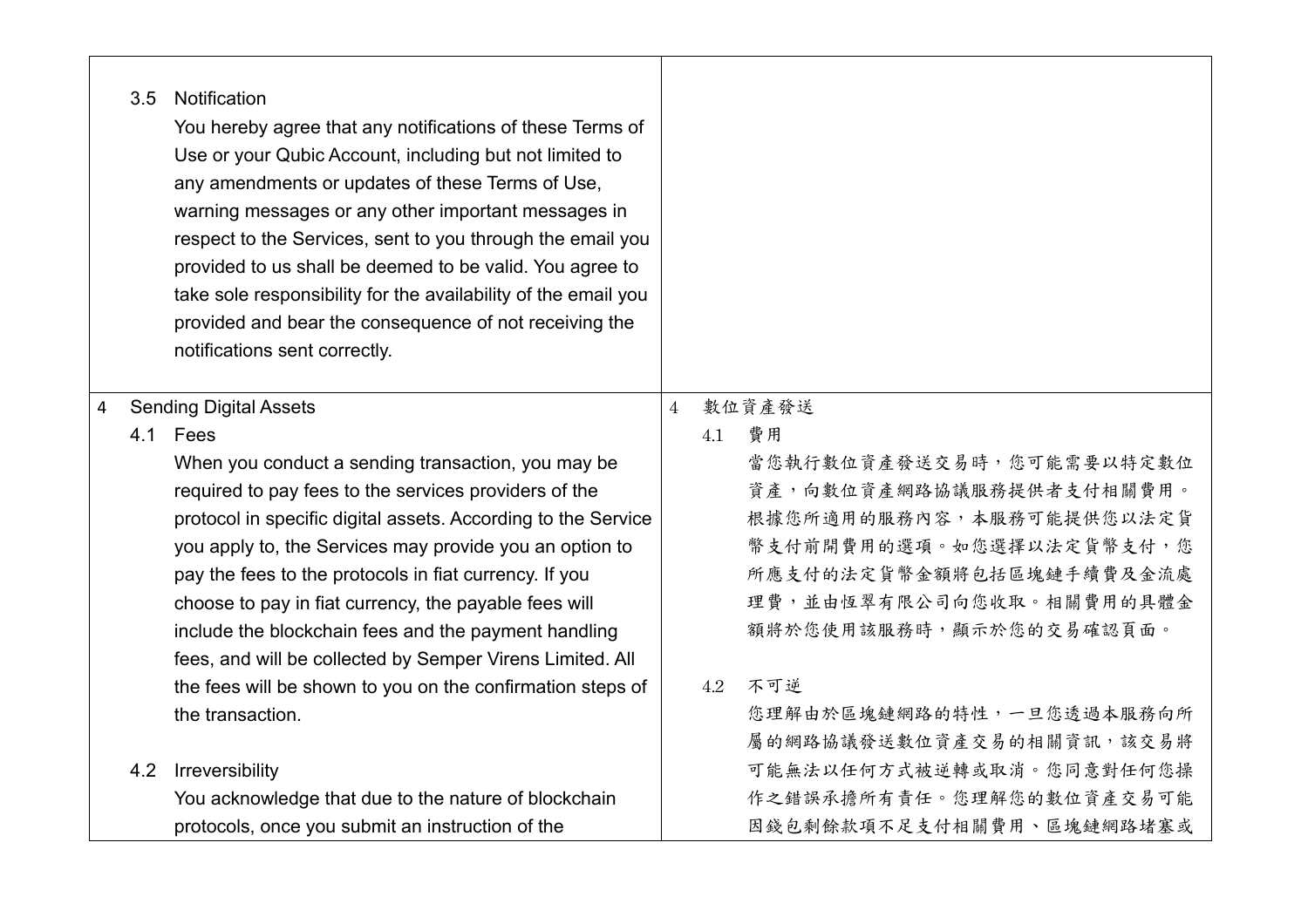|   | 3.5 | Notification<br>You hereby agree that any notifications of these Terms of<br>Use or your Qubic Account, including but not limited to<br>any amendments or updates of these Terms of Use,<br>warning messages or any other important messages in<br>respect to the Services, sent to you through the email you<br>provided to us shall be deemed to be valid. You agree to<br>take sole responsibility for the availability of the email you<br>provided and bear the consequence of not receiving the<br>notifications sent correctly. |                |     |                          |
|---|-----|----------------------------------------------------------------------------------------------------------------------------------------------------------------------------------------------------------------------------------------------------------------------------------------------------------------------------------------------------------------------------------------------------------------------------------------------------------------------------------------------------------------------------------------|----------------|-----|--------------------------|
| 4 |     | <b>Sending Digital Assets</b>                                                                                                                                                                                                                                                                                                                                                                                                                                                                                                          | $\overline{4}$ |     | 數位資產發送                   |
|   |     | 4.1 Fees                                                                                                                                                                                                                                                                                                                                                                                                                                                                                                                               |                | 4.1 | 費用                       |
|   |     | When you conduct a sending transaction, you may be                                                                                                                                                                                                                                                                                                                                                                                                                                                                                     |                |     | 當您執行數位資產發送交易時,您可能需要以特定數位 |
|   |     | required to pay fees to the services providers of the                                                                                                                                                                                                                                                                                                                                                                                                                                                                                  |                |     | 資產,向數位資產網路協議服務提供者支付相關費用。 |
|   |     | protocol in specific digital assets. According to the Service                                                                                                                                                                                                                                                                                                                                                                                                                                                                          |                |     | 根據您所適用的服務內容,本服務可能提供您以法定貨 |
|   |     | you apply to, the Services may provide you an option to                                                                                                                                                                                                                                                                                                                                                                                                                                                                                |                |     | 幣支付前開費用的選項。如您選擇以法定貨幣支付,您 |
|   |     | pay the fees to the protocols in fiat currency. If you                                                                                                                                                                                                                                                                                                                                                                                                                                                                                 |                |     | 所應支付的法定貨幣金額將包括區塊鏈手續費及金流處 |
|   |     | choose to pay in fiat currency, the payable fees will                                                                                                                                                                                                                                                                                                                                                                                                                                                                                  |                |     | 理費,並由恆翠有限公司向您收取。相關費用的具體金 |
|   |     | include the blockchain fees and the payment handling                                                                                                                                                                                                                                                                                                                                                                                                                                                                                   |                |     | 額將於您使用該服務時,顯示於您的交易確認頁面。  |
|   |     | fees, and will be collected by Semper Virens Limited. All                                                                                                                                                                                                                                                                                                                                                                                                                                                                              |                |     |                          |
|   |     | the fees will be shown to you on the confirmation steps of                                                                                                                                                                                                                                                                                                                                                                                                                                                                             |                | 4.2 | 不可逆                      |
|   |     | the transaction.                                                                                                                                                                                                                                                                                                                                                                                                                                                                                                                       |                |     | 您理解由於區塊鏈網路的特性,一旦您透過本服務向所 |
|   |     |                                                                                                                                                                                                                                                                                                                                                                                                                                                                                                                                        |                |     | 屬的網路協議發送數位資產交易的相關資訊,該交易將 |
|   | 4.2 | Irreversibility                                                                                                                                                                                                                                                                                                                                                                                                                                                                                                                        |                |     | 可能無法以任何方式被逆轉或取消。您同意對任何您操 |
|   |     | You acknowledge that due to the nature of blockchain                                                                                                                                                                                                                                                                                                                                                                                                                                                                                   |                |     | 作之錯誤承擔所有責任。您理解您的數位資產交易可能 |
|   |     | protocols, once you submit an instruction of the                                                                                                                                                                                                                                                                                                                                                                                                                                                                                       |                |     | 因錢包剩餘款項不足支付相關費用、區塊鏈網路堵塞或 |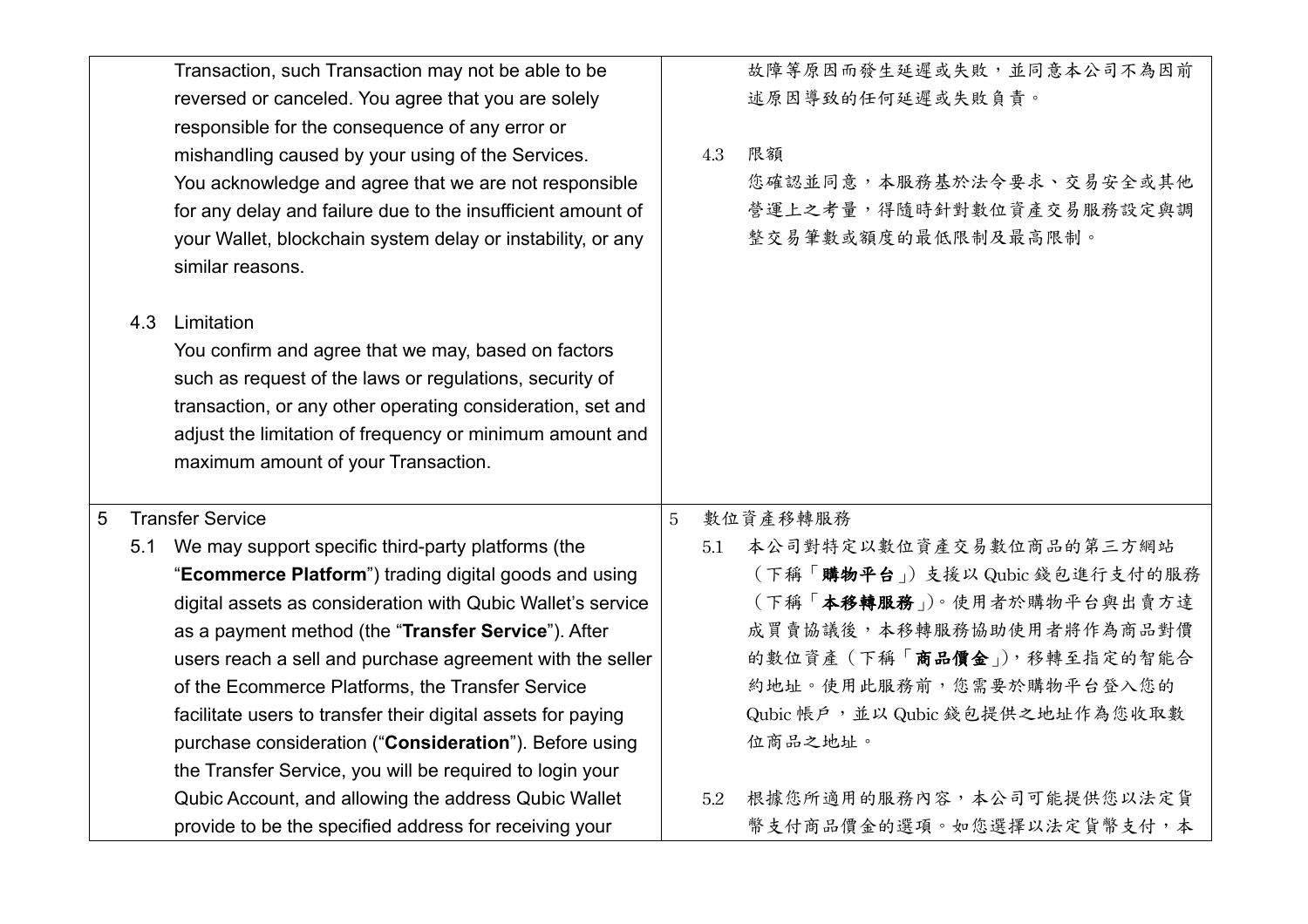|   |     | Transaction, such Transaction may not be able to be          |   |     | 故障等原因而發生延遲或失敗,並同意本公司不為因前        |
|---|-----|--------------------------------------------------------------|---|-----|---------------------------------|
|   |     | reversed or canceled. You agree that you are solely          |   |     | 述原因導致的任何延遲或失敗負責。                |
|   |     | responsible for the consequence of any error or              |   |     |                                 |
|   |     | mishandling caused by your using of the Services.            |   | 4.3 | 限額                              |
|   |     | You acknowledge and agree that we are not responsible        |   |     | 您確認並同意,本服務基於法令要求、交易安全或其他        |
|   |     | for any delay and failure due to the insufficient amount of  |   |     | 營運上之考量,得隨時針對數位資產交易服務設定與調        |
|   |     | your Wallet, blockchain system delay or instability, or any  |   |     | 整交易筆數或額度的最低限制及最高限制。             |
|   |     | similar reasons.                                             |   |     |                                 |
|   | 4.3 | Limitation                                                   |   |     |                                 |
|   |     | You confirm and agree that we may, based on factors          |   |     |                                 |
|   |     | such as request of the laws or regulations, security of      |   |     |                                 |
|   |     | transaction, or any other operating consideration, set and   |   |     |                                 |
|   |     | adjust the limitation of frequency or minimum amount and     |   |     |                                 |
|   |     | maximum amount of your Transaction.                          |   |     |                                 |
|   |     |                                                              |   |     |                                 |
| 5 |     | <b>Transfer Service</b>                                      | 5 |     | 數位資產移轉服務                        |
|   | 5.1 | We may support specific third-party platforms (the           |   | 5.1 | 本公司對特定以數位資產交易數位商品的第三方網站         |
|   |     | "Ecommerce Platform") trading digital goods and using        |   |     | (下稱「購物平台」)支援以 Qubic 錢包進行支付的服務   |
|   |     | digital assets as consideration with Qubic Wallet's service  |   |     | (下稱「本移轉服務」)。使用者於購物平台與出賣方達       |
|   |     | as a payment method (the "Transfer Service"). After          |   |     | 成買賣協議後,本移轉服務協助使用者將作為商品對價        |
|   |     | users reach a sell and purchase agreement with the seller    |   |     | 的數位資產 (下稱「商品價金」), 移轉至指定的智能合     |
|   |     | of the Ecommerce Platforms, the Transfer Service             |   |     | 約地址。使用此服務前,您需要於購物平台登入您的         |
|   |     | facilitate users to transfer their digital assets for paying |   |     | Qubic 帳戶,並以 Qubic 錢包提供之地址作為您收取數 |
|   |     | purchase consideration ("Consideration"). Before using       |   |     | 位商品之地址。                         |
|   |     |                                                              |   |     |                                 |
|   |     | the Transfer Service, you will be required to login your     |   |     |                                 |
|   |     | Qubic Account, and allowing the address Qubic Wallet         |   | 5.2 | 根據您所適用的服務內容,本公司可能提供您以法定貨        |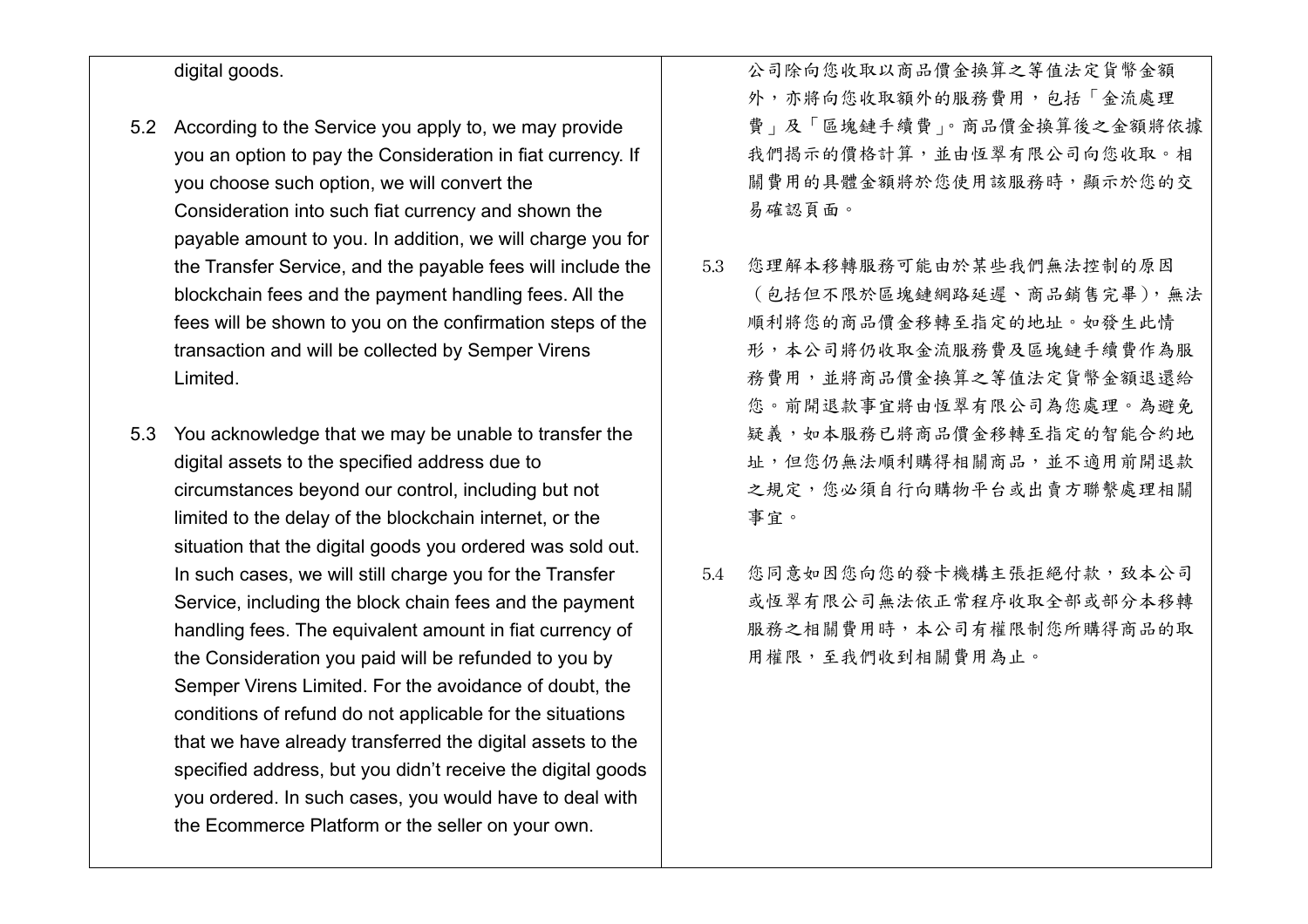## digital goods.

- 5.2 According to the Service you apply to, we may provide you an option to pay the Consideration in fiat currency. If you choose such option, we will convert the Consideration into such fiat currency and shown the payable amount to you. In addition, we will charge you for the Transfer Service, and the payable fees will include the blockchain fees and the payment handling fees. All the fees will be shown to you on the confirmation steps of the transaction and will be collected by Semper Virens Limited.
- 5.3 You acknowledge that we may be unable to transfer the digital assets to the specified address due to circumstances beyond our control, including but not limited to the delay of the blockchain internet, or the situation that the digital goods you ordered was sold out. In such cases, we will still charge you for the Transfer Service, including the block chain fees and the payment handling fees. The equivalent amount in fiat currency of the Consideration you paid will be refunded to you by Semper Virens Limited. For the avoidance of doubt, the conditions of refund do not applicable for the situations that we have already transferred the digital assets to the specified address, but you didn't receive the digital goods you ordered. In such cases, you would have to deal with the Ecommerce Platform or the seller on your own.

公司除向您收取以商品價金換算之等值法定貨幣金額 外,亦將向您收取額外的服務費用,包括「金流處理 費」及「區塊鏈手續費」。商品價金換算後之金額將依據 我們揭示的價格計算,並由恆翠有限公司向您收取。相 關費用的具體金額將於您使用該服務時,顯示於您的交 易確認頁面。

- 5.3 您理解本移轉服務可能由於某些我們無法控制的原因 (包括但不限於區塊鏈網路延遲、商品銷售完畢),無法 順利將您的商品價金移轉至指定的地址。如發生此情 形,本公司將仍收取金流服務費及區塊鏈手續費作為服 務費用,並將商品價金換算之等值法定貨幣金額退還給 您。前開退款事宜將由恆翠有限公司為您處理。為避免 疑義,如本服務已將商品價金移轉至指定的智能合約地 址,但您仍無法順利購得相關商品,並不適用前開退款 之規定,您必須自行向購物平台或出賣方聯繫處理相關 事宜。
- 5.4 您同意如因您向您的發卡機構主張拒絕付款,致本公司 或恆翠有限公司無法依正常程序收取全部或部分本移轉 服務之相關費用時,本公司有權限制您所購得商品的取 用權限,至我們收到相關費用為止。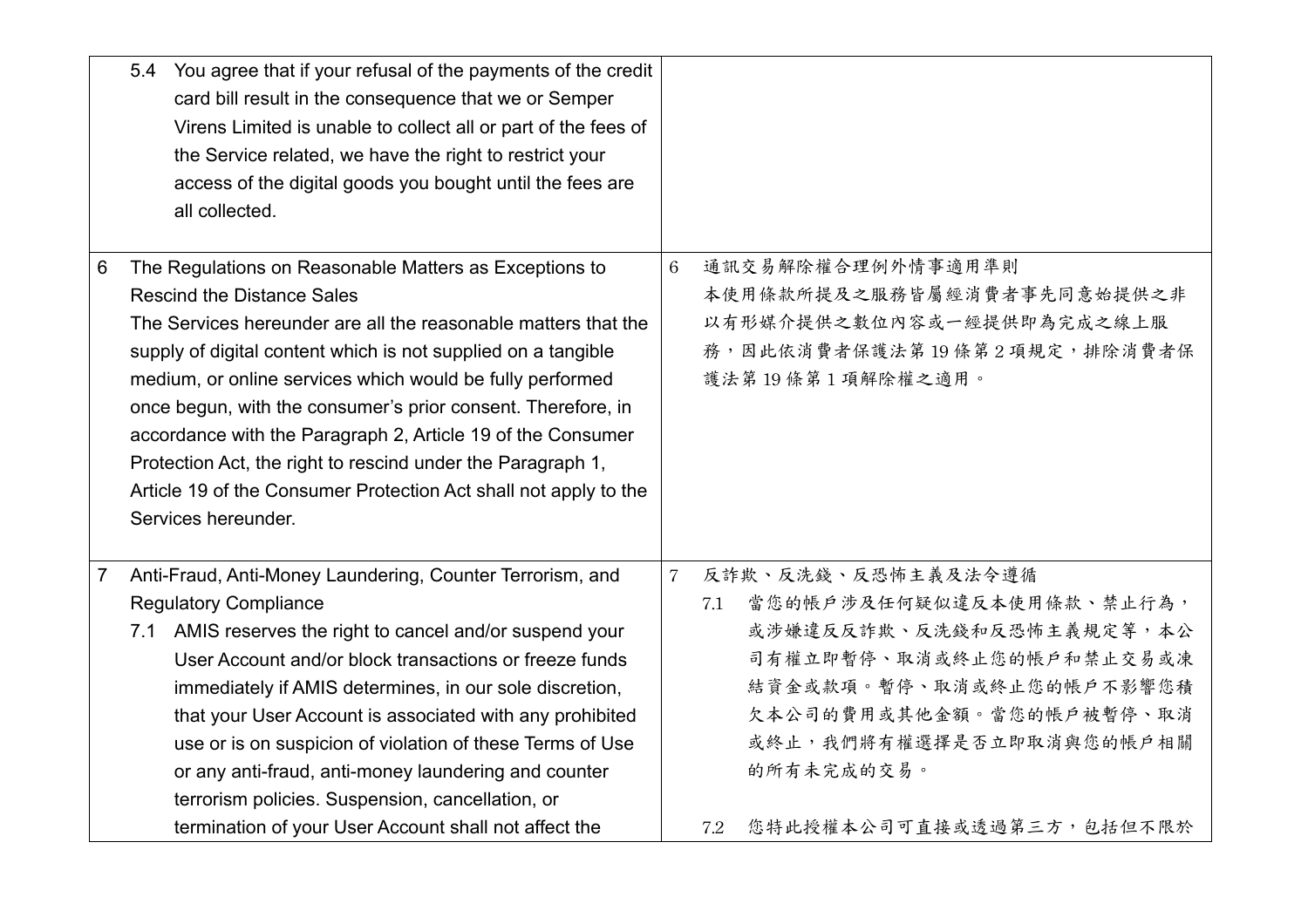|                | 5.4 You agree that if your refusal of the payments of the credit<br>card bill result in the consequence that we or Semper<br>Virens Limited is unable to collect all or part of the fees of<br>the Service related, we have the right to restrict your<br>access of the digital goods you bought until the fees are<br>all collected.                                                                                                                                                                                                                                                |                |                                                                                                                                                                                                                 |
|----------------|--------------------------------------------------------------------------------------------------------------------------------------------------------------------------------------------------------------------------------------------------------------------------------------------------------------------------------------------------------------------------------------------------------------------------------------------------------------------------------------------------------------------------------------------------------------------------------------|----------------|-----------------------------------------------------------------------------------------------------------------------------------------------------------------------------------------------------------------|
| 6              | The Regulations on Reasonable Matters as Exceptions to<br><b>Rescind the Distance Sales</b><br>The Services hereunder are all the reasonable matters that the<br>supply of digital content which is not supplied on a tangible<br>medium, or online services which would be fully performed<br>once begun, with the consumer's prior consent. Therefore, in<br>accordance with the Paragraph 2, Article 19 of the Consumer<br>Protection Act, the right to rescind under the Paragraph 1,<br>Article 19 of the Consumer Protection Act shall not apply to the<br>Services hereunder. | 6              | 通訊交易解除權合理例外情事適用準則<br>本使用條款所提及之服務皆屬經消費者事先同意始提供之非<br>以有形媒介提供之數位內容或一經提供即為完成之線上服<br>務,因此依消費者保護法第19條第2項規定,排除消費者保<br>護法第19條第1項解除權之適用。                                                                                 |
|                |                                                                                                                                                                                                                                                                                                                                                                                                                                                                                                                                                                                      |                |                                                                                                                                                                                                                 |
| $\overline{7}$ | Anti-Fraud, Anti-Money Laundering, Counter Terrorism, and<br><b>Regulatory Compliance</b><br>7.1 AMIS reserves the right to cancel and/or suspend your<br>User Account and/or block transactions or freeze funds<br>immediately if AMIS determines, in our sole discretion,<br>that your User Account is associated with any prohibited<br>use or is on suspicion of violation of these Terms of Use<br>or any anti-fraud, anti-money laundering and counter<br>terrorism policies. Suspension, cancellation, or                                                                     | $\overline{7}$ | 反詐欺、反洗錢、反恐怖主義及法令遵循<br>當您的帳戶涉及任何疑似違反本使用條款、禁止行為,<br>7.1<br>或涉嫌違反反詐欺、反洗錢和反恐怖主義規定等,本公<br>司有權立即暫停、取消或終止您的帳戶和禁止交易或凍<br>結資金或款項。暫停、取消或終止您的帳戶不影響您積<br>欠本公司的費用或其他金額。當您的帳戶被暫停、取消<br>或終止,我們將有權選擇是否立即取消與您的帳戶相關<br>的所有未完成的交易。 |
|                | termination of your User Account shall not affect the                                                                                                                                                                                                                                                                                                                                                                                                                                                                                                                                |                | 您特此授權本公司可直接或透過第三方,包括但不限於<br>7.2                                                                                                                                                                                 |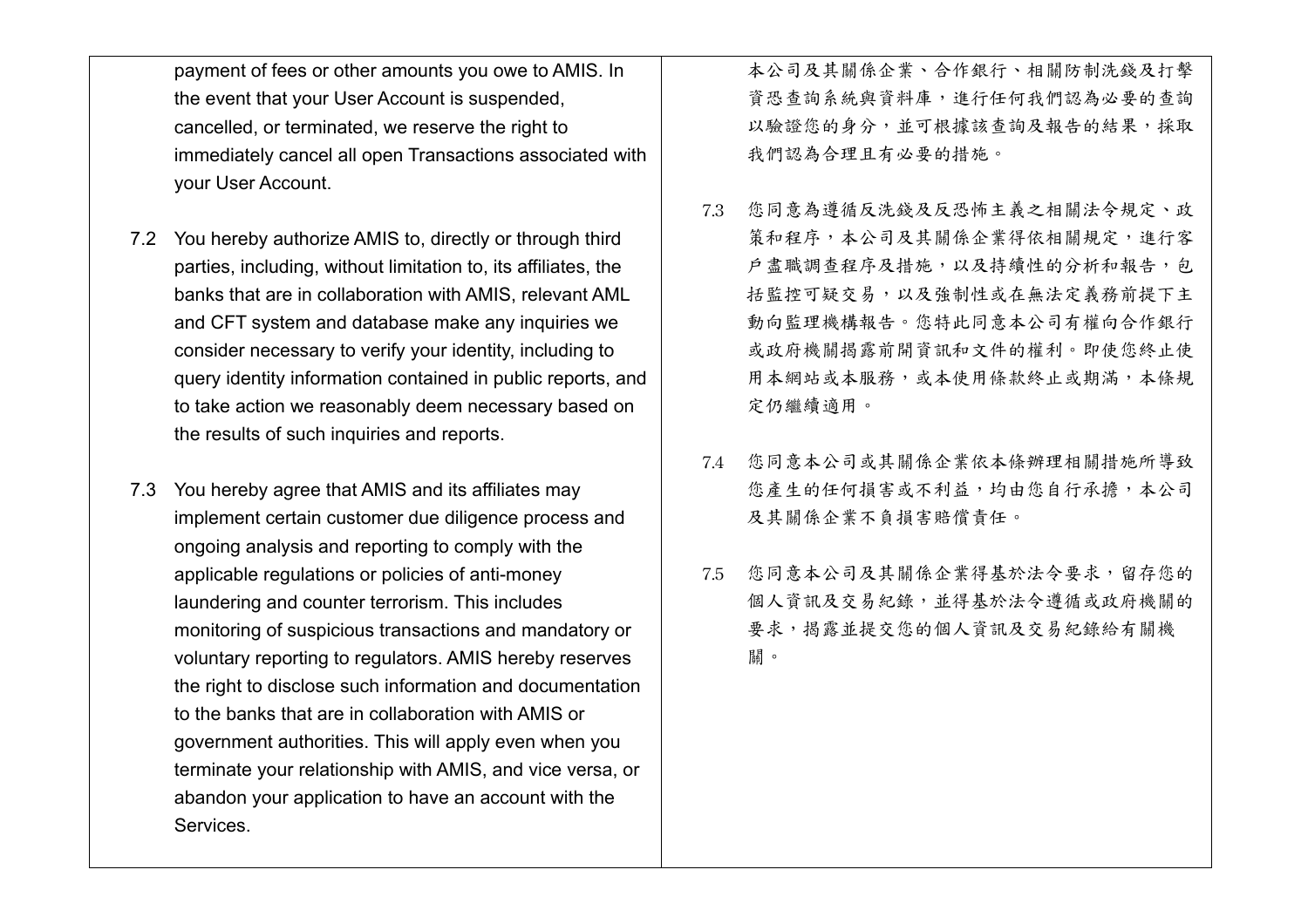payment of fees or other amounts you owe to AMIS. In the event that your User Account is suspended, cancelled, or terminated, we reserve the right to immediately cancel all open Transactions associated with your User Account.

- 7.2 You hereby authorize AMIS to, directly or through third parties, including, without limitation to, its affiliates, the banks that are in collaboration with AMIS, relevant AML and CFT system and database make any inquiries we consider necessary to verify your identity, including to query identity information contained in public reports, and to take action we reasonably deem necessary based on the results of such inquiries and reports.
- 7.3 You hereby agree that AMIS and its affiliates may implement certain customer due diligence process and ongoing analysis and reporting to comply with the applicable regulations or policies of anti-money laundering and counter terrorism. This includes monitoring of suspicious transactions and mandatory or voluntary reporting to regulators. AMIS hereby reserves the right to disclose such information and documentation to the banks that are in collaboration with AMIS or government authorities. This will apply even when you terminate your relationship with AMIS, and vice versa, or abandon your application to have an account with the Services.

本公司及其關係企業、合作銀行、相關防制洗錢及打擊 資恐查詢系統與資料庫,進行任何我們認為必要的查詢 以驗證您的身分,並可根據該查詢及報告的結果,採取 我們認為合理且有必要的措施。

- 7.3 您同意為遵循反洗錢及反恐怖主義之相關法令規定、政 策和程序,本公司及其關係企業得依相關規定,進行客 戶盡職調查程序及措施,以及持續性的分析和報告,包 括監控可疑交易,以及強制性或在無法定義務前提下主 動向監理機構報告。您特此同意本公司有權向合作銀行 或政府機關揭露前開資訊和文件的權利。即使您終止使 用本網站或本服務,或本使用條款終止或期滿,本條規 定仍繼續適用。
- 7.4 您同意本公司或其關係企業依本條辦理相關措施所導致 您產生的任何損害或不利益,均由您自行承擔,本公司 及其關係企業不負損害賠償責任。
- 7.5 您同意本公司及其關係企業得基於法令要求,留存您的 個人資訊及交易紀錄,並得基於法令遵循或政府機關的 要求,揭露並提交您的個人資訊及交易紀錄給有關機 關。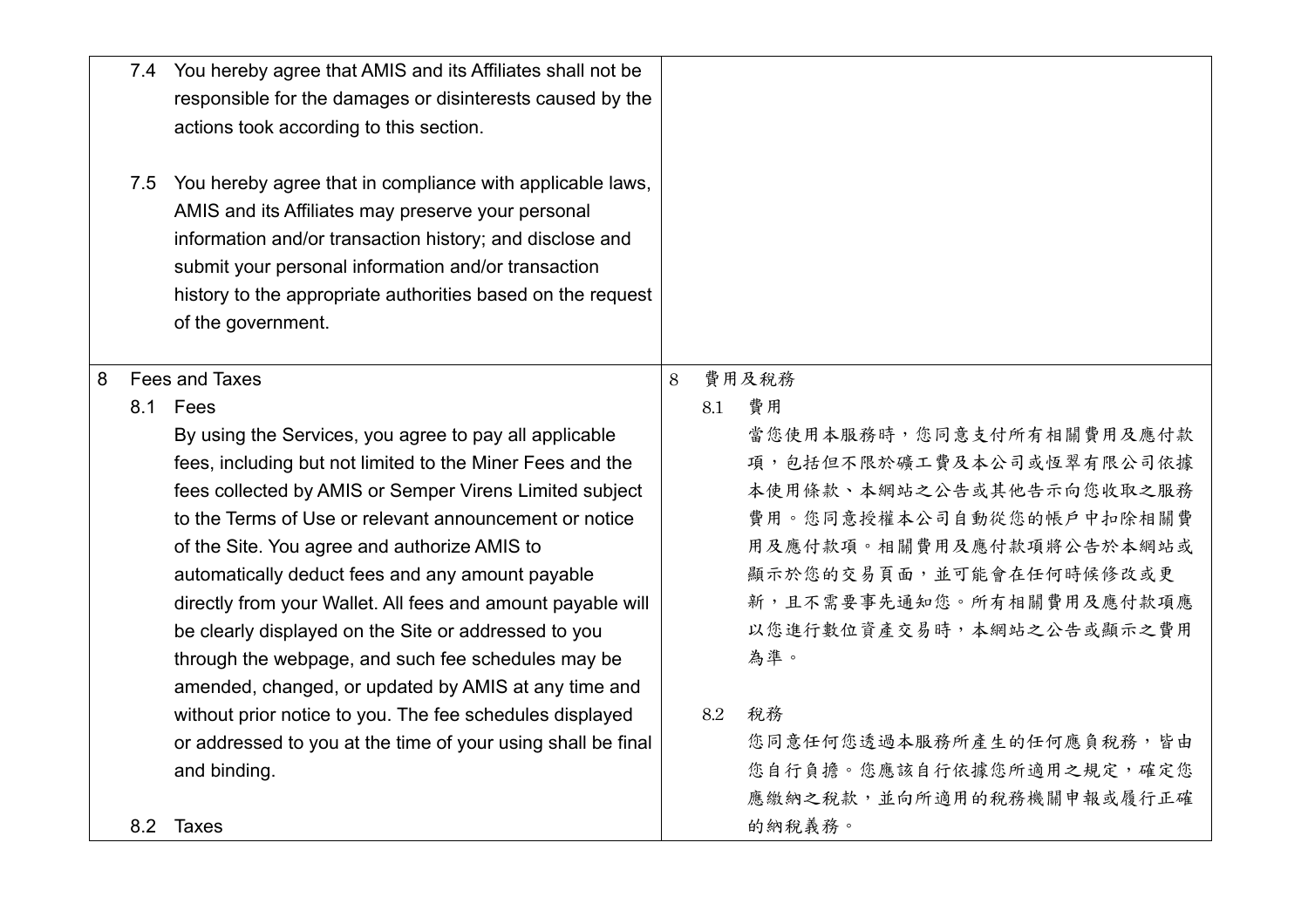|   |     | 7.4 You hereby agree that AMIS and its Affiliates shall not be |   |     |                          |
|---|-----|----------------------------------------------------------------|---|-----|--------------------------|
|   |     | responsible for the damages or disinterests caused by the      |   |     |                          |
|   |     | actions took according to this section.                        |   |     |                          |
|   |     |                                                                |   |     |                          |
|   | 7.5 | You hereby agree that in compliance with applicable laws,      |   |     |                          |
|   |     | AMIS and its Affiliates may preserve your personal             |   |     |                          |
|   |     | information and/or transaction history; and disclose and       |   |     |                          |
|   |     | submit your personal information and/or transaction            |   |     |                          |
|   |     | history to the appropriate authorities based on the request    |   |     |                          |
|   |     | of the government.                                             |   |     |                          |
|   |     |                                                                |   |     |                          |
| 8 |     | Fees and Taxes                                                 | 8 |     | 費用及稅務                    |
|   |     | 8.1 Fees                                                       |   | 8.1 | 費用                       |
|   |     | By using the Services, you agree to pay all applicable         |   |     | 當您使用本服務時,您同意支付所有相關費用及應付款 |
|   |     | fees, including but not limited to the Miner Fees and the      |   |     | 項,包括但不限於礦工費及本公司或恆翠有限公司依據 |
|   |     | fees collected by AMIS or Semper Virens Limited subject        |   |     | 本使用條款、本網站之公告或其他告示向您收取之服務 |
|   |     | to the Terms of Use or relevant announcement or notice         |   |     | 費用。您同意授權本公司自動從您的帳戶中扣除相關費 |
|   |     | of the Site. You agree and authorize AMIS to                   |   |     | 用及應付款項。相關費用及應付款項將公告於本網站或 |
|   |     | automatically deduct fees and any amount payable               |   |     | 顯示於您的交易頁面,並可能會在任何時候修改或更  |
|   |     | directly from your Wallet. All fees and amount payable will    |   |     | 新,且不需要事先通知您。所有相關費用及應付款項應 |
|   |     | be clearly displayed on the Site or addressed to you           |   |     | 以您進行數位資產交易時,本網站之公告或顯示之費用 |
|   |     | through the webpage, and such fee schedules may be             |   |     | 為準。                      |
|   |     | amended, changed, or updated by AMIS at any time and           |   |     |                          |
|   |     | without prior notice to you. The fee schedules displayed       |   | 8.2 | 稅務                       |
|   |     | or addressed to you at the time of your using shall be final   |   |     | 您同意任何您透過本服務所產生的任何應負稅務,皆由 |
|   |     | and binding.                                                   |   |     | 您自行負擔。您應該自行依據您所適用之規定,確定您 |
|   |     |                                                                |   |     | 應繳納之稅款,並向所適用的稅務機關申報或履行正確 |
|   | 8.2 | Taxes                                                          |   |     | 的納稅義務。                   |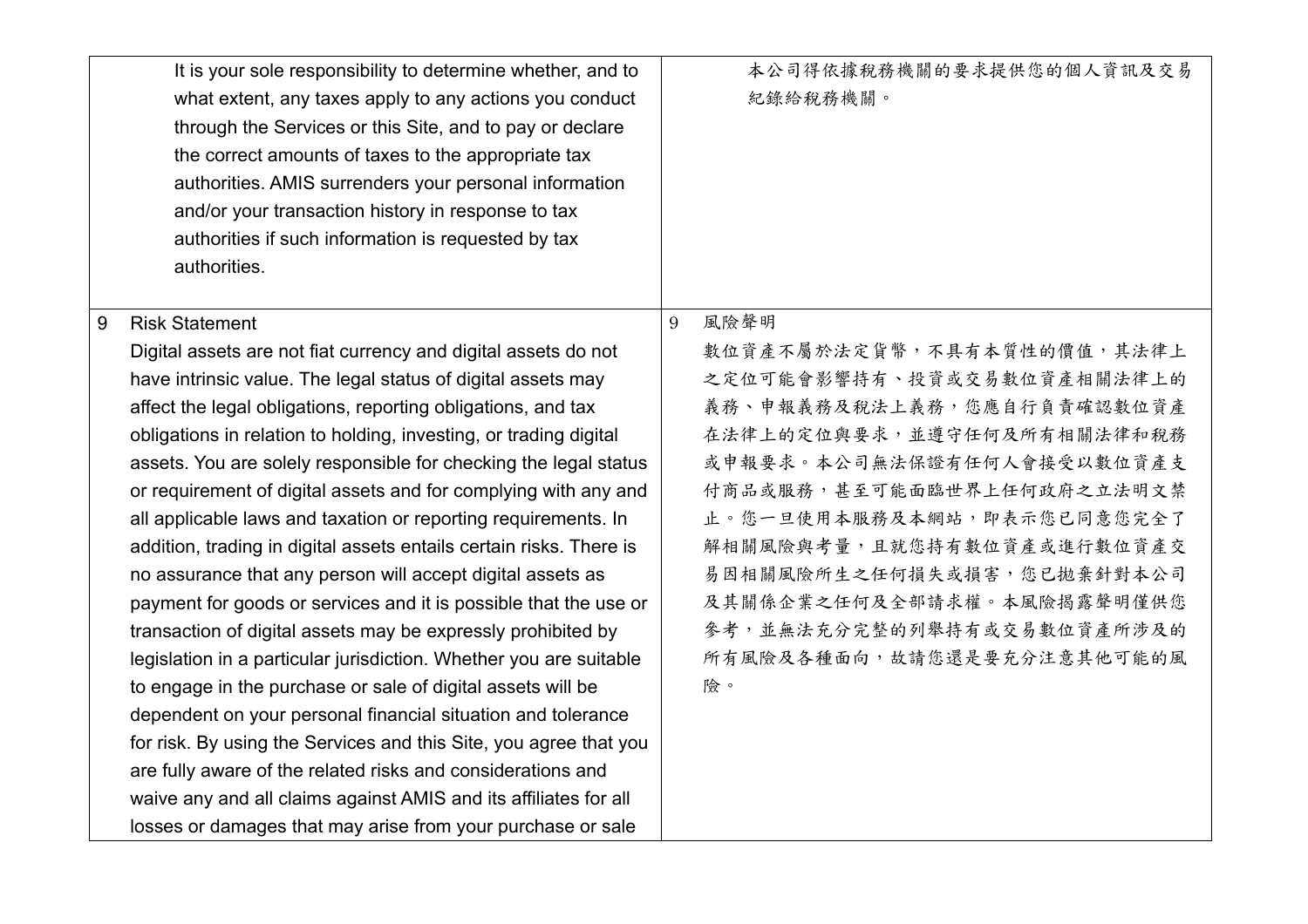|   | It is your sole responsibility to determine whether, and to<br>what extent, any taxes apply to any actions you conduct<br>through the Services or this Site, and to pay or declare<br>the correct amounts of taxes to the appropriate tax<br>authorities. AMIS surrenders your personal information<br>and/or your transaction history in response to tax<br>authorities if such information is requested by tax<br>authorities. |   | 本公司得依據稅務機關的要求提供您的個人資訊及交易<br>紀錄給稅務機關。 |
|---|----------------------------------------------------------------------------------------------------------------------------------------------------------------------------------------------------------------------------------------------------------------------------------------------------------------------------------------------------------------------------------------------------------------------------------|---|--------------------------------------|
| 9 | <b>Risk Statement</b>                                                                                                                                                                                                                                                                                                                                                                                                            | 9 | 風險聲明                                 |
|   | Digital assets are not fiat currency and digital assets do not                                                                                                                                                                                                                                                                                                                                                                   |   | 數位資產不屬於法定貨幣,不具有本質性的價值,其法律上           |
|   | have intrinsic value. The legal status of digital assets may                                                                                                                                                                                                                                                                                                                                                                     |   | 之定位可能會影響持有、投資或交易數位資產相關法律上的           |
|   | affect the legal obligations, reporting obligations, and tax                                                                                                                                                                                                                                                                                                                                                                     |   | 義務、申報義務及稅法上義務,您應自行負責確認數位資產           |
|   | obligations in relation to holding, investing, or trading digital                                                                                                                                                                                                                                                                                                                                                                |   | 在法律上的定位與要求,並遵守任何及所有相關法律和稅務           |
|   | assets. You are solely responsible for checking the legal status                                                                                                                                                                                                                                                                                                                                                                 |   | 或申報要求。本公司無法保證有任何人會接受以數位資產支           |
|   | or requirement of digital assets and for complying with any and                                                                                                                                                                                                                                                                                                                                                                  |   | 付商品或服務,甚至可能面臨世界上任何政府之立法明文禁           |
|   | all applicable laws and taxation or reporting requirements. In                                                                                                                                                                                                                                                                                                                                                                   |   | 止。您一旦使用本服務及本網站,即表示您已同意您完全了           |
|   | addition, trading in digital assets entails certain risks. There is                                                                                                                                                                                                                                                                                                                                                              |   | 解相關風險與考量,且就您持有數位資產或進行數位資產交           |
|   | no assurance that any person will accept digital assets as                                                                                                                                                                                                                                                                                                                                                                       |   | 易因相關風險所生之任何損失或損害,您已拋棄針對本公司           |
|   | payment for goods or services and it is possible that the use or                                                                                                                                                                                                                                                                                                                                                                 |   | 及其關係企業之任何及全部請求權。本風險揭露聲明僅供您           |
|   | transaction of digital assets may be expressly prohibited by                                                                                                                                                                                                                                                                                                                                                                     |   | 參考,並無法充分完整的列舉持有或交易數位資產所涉及的           |
|   | legislation in a particular jurisdiction. Whether you are suitable                                                                                                                                                                                                                                                                                                                                                               |   | 所有風險及各種面向,故請您還是要充分注意其他可能的風           |
|   | to engage in the purchase or sale of digital assets will be                                                                                                                                                                                                                                                                                                                                                                      |   | 險。                                   |
|   | dependent on your personal financial situation and tolerance                                                                                                                                                                                                                                                                                                                                                                     |   |                                      |
|   | for risk. By using the Services and this Site, you agree that you                                                                                                                                                                                                                                                                                                                                                                |   |                                      |
|   | are fully aware of the related risks and considerations and                                                                                                                                                                                                                                                                                                                                                                      |   |                                      |
|   | waive any and all claims against AMIS and its affiliates for all                                                                                                                                                                                                                                                                                                                                                                 |   |                                      |
|   | losses or damages that may arise from your purchase or sale                                                                                                                                                                                                                                                                                                                                                                      |   |                                      |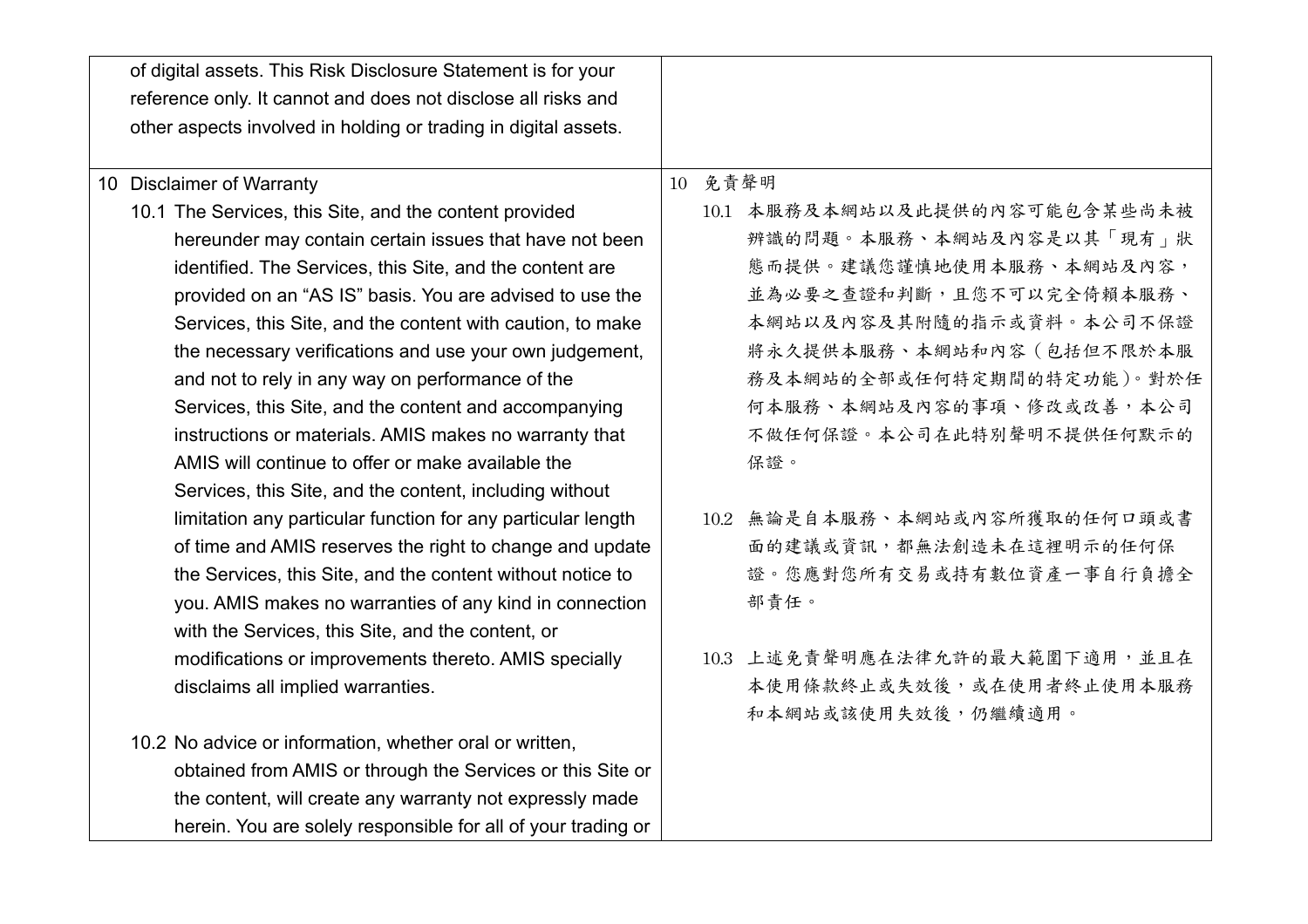| of digital assets. This Risk Disclosure Statement is for your   |                               |
|-----------------------------------------------------------------|-------------------------------|
| reference only. It cannot and does not disclose all risks and   |                               |
| other aspects involved in holding or trading in digital assets. |                               |
|                                                                 |                               |
| 10 Disclaimer of Warranty                                       | 10 免責聲明                       |
| 10.1 The Services, this Site, and the content provided          | 10.1 本服務及本網站以及此提供的內容可能包含某些尚未被 |
| hereunder may contain certain issues that have not been         | 辨識的問題。本服務、本網站及內容是以其「現有」狀      |
| identified. The Services, this Site, and the content are        | 態而提供。建議您謹慎地使用本服務、本網站及內容,      |
| provided on an "AS IS" basis. You are advised to use the        | 並為必要之查證和判斷,且您不可以完全倚賴本服務、      |
| Services, this Site, and the content with caution, to make      | 本網站以及內容及其附隨的指示或資料。本公司不保證      |
| the necessary verifications and use your own judgement,         | 將永久提供本服務、本網站和內容(包括但不限於本服      |
| and not to rely in any way on performance of the                | 務及本網站的全部或任何特定期間的特定功能)。對於任     |
| Services, this Site, and the content and accompanying           | 何本服務、本網站及內容的事項、修改或改善,本公司      |
| instructions or materials. AMIS makes no warranty that          | 不做任何保證。本公司在此特別聲明不提供任何默示的      |
| AMIS will continue to offer or make available the               | 保證。                           |
| Services, this Site, and the content, including without         |                               |
| limitation any particular function for any particular length    | 10.2 無論是自本服務、本網站或內容所獲取的任何口頭或書 |
| of time and AMIS reserves the right to change and update        | 面的建議或資訊,都無法創造未在這裡明示的任何保       |
| the Services, this Site, and the content without notice to      | 證。您應對您所有交易或持有數位資產一事自行負擔全      |
| you. AMIS makes no warranties of any kind in connection         | 部責任。                          |
| with the Services, this Site, and the content, or               |                               |
| modifications or improvements thereto. AMIS specially           | 10.3 上述免責聲明應在法律允許的最大範圍下適用,並且在 |
| disclaims all implied warranties.                               | 本使用條款終止或失效後,或在使用者終止使用本服務      |
|                                                                 | 和本網站或該使用失效後,仍繼續適用。            |
| 10.2 No advice or information, whether oral or written,         |                               |
| obtained from AMIS or through the Services or this Site or      |                               |
| the content, will create any warranty not expressly made        |                               |
| herein. You are solely responsible for all of your trading or   |                               |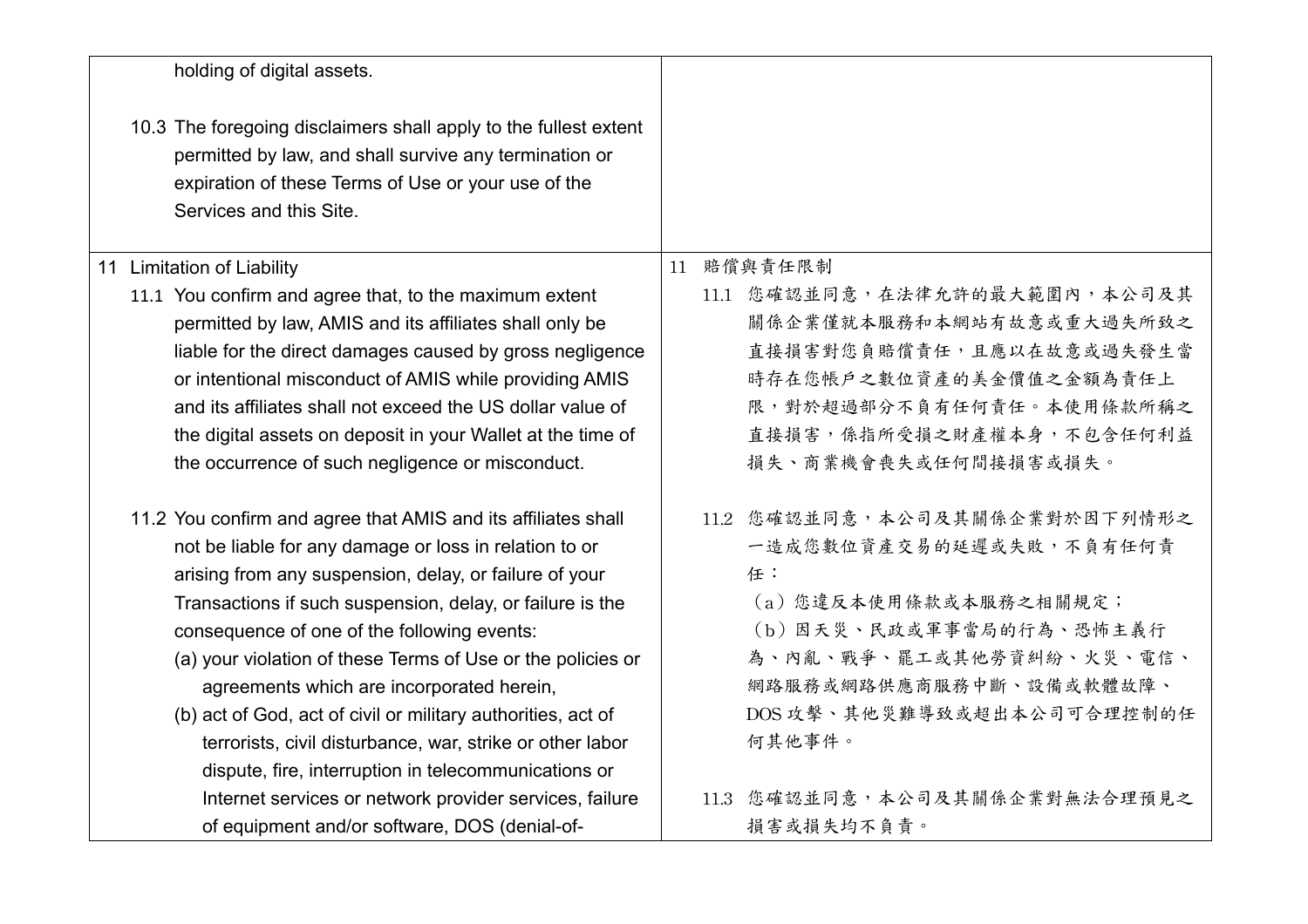| holding of digital assets.                                                                                                                                                                                   |                               |
|--------------------------------------------------------------------------------------------------------------------------------------------------------------------------------------------------------------|-------------------------------|
| 10.3 The foregoing disclaimers shall apply to the fullest extent<br>permitted by law, and shall survive any termination or<br>expiration of these Terms of Use or your use of the<br>Services and this Site. |                               |
| 11 Limitation of Liability                                                                                                                                                                                   | 11 賠償與責任限制                    |
| 11.1 You confirm and agree that, to the maximum extent                                                                                                                                                       | 11.1 您確認並同意,在法律允許的最大範圍內,本公司及其 |
| permitted by law, AMIS and its affiliates shall only be                                                                                                                                                      | 關係企業僅就本服務和本網站有故意或重大過失所致之      |
| liable for the direct damages caused by gross negligence                                                                                                                                                     | 直接損害對您負賠償責任,且應以在故意或過失發生當      |
| or intentional misconduct of AMIS while providing AMIS                                                                                                                                                       | 時存在您帳戶之數位資產的美金價值之金額為責任上       |
| and its affiliates shall not exceed the US dollar value of                                                                                                                                                   | 限,對於超過部分不負有任何責任。本使用條款所稱之      |
| the digital assets on deposit in your Wallet at the time of                                                                                                                                                  | 直接損害,係指所受損之財產權本身,不包含任何利益      |
| the occurrence of such negligence or misconduct.                                                                                                                                                             | 損失、商業機會喪失或任何間接損害或損失。          |
| 11.2 You confirm and agree that AMIS and its affiliates shall                                                                                                                                                | 11.2 您確認並同意,本公司及其關係企業對於因下列情形之 |
| not be liable for any damage or loss in relation to or                                                                                                                                                       | 一造成您數位資產交易的延遲或失敗,不負有任何責       |
| arising from any suspension, delay, or failure of your                                                                                                                                                       | 任:                            |
| Transactions if such suspension, delay, or failure is the                                                                                                                                                    | (a)您違反本使用條款或本服務之相關規定;         |
| consequence of one of the following events:                                                                                                                                                                  | (b) 因天災、民政或軍事當局的行為、恐怖主義行      |
| (a) your violation of these Terms of Use or the policies or                                                                                                                                                  | 為、內亂、戰爭、罷工或其他勞資糾紛、火災、電信、      |
| agreements which are incorporated herein,                                                                                                                                                                    | 網路服務或網路供應商服務中斷、設備或軟體故障、       |
| (b) act of God, act of civil or military authorities, act of                                                                                                                                                 | DOS攻擊、其他災難導致或超出本公司可合理控制的任     |
| terrorists, civil disturbance, war, strike or other labor                                                                                                                                                    | 何其他事件。                        |
| dispute, fire, interruption in telecommunications or                                                                                                                                                         |                               |
| Internet services or network provider services, failure                                                                                                                                                      | 11.3 您確認並同意,本公司及其關係企業對無法合理預見之 |
| of equipment and/or software, DOS (denial-of-                                                                                                                                                                | 損害或損失均不負責。                    |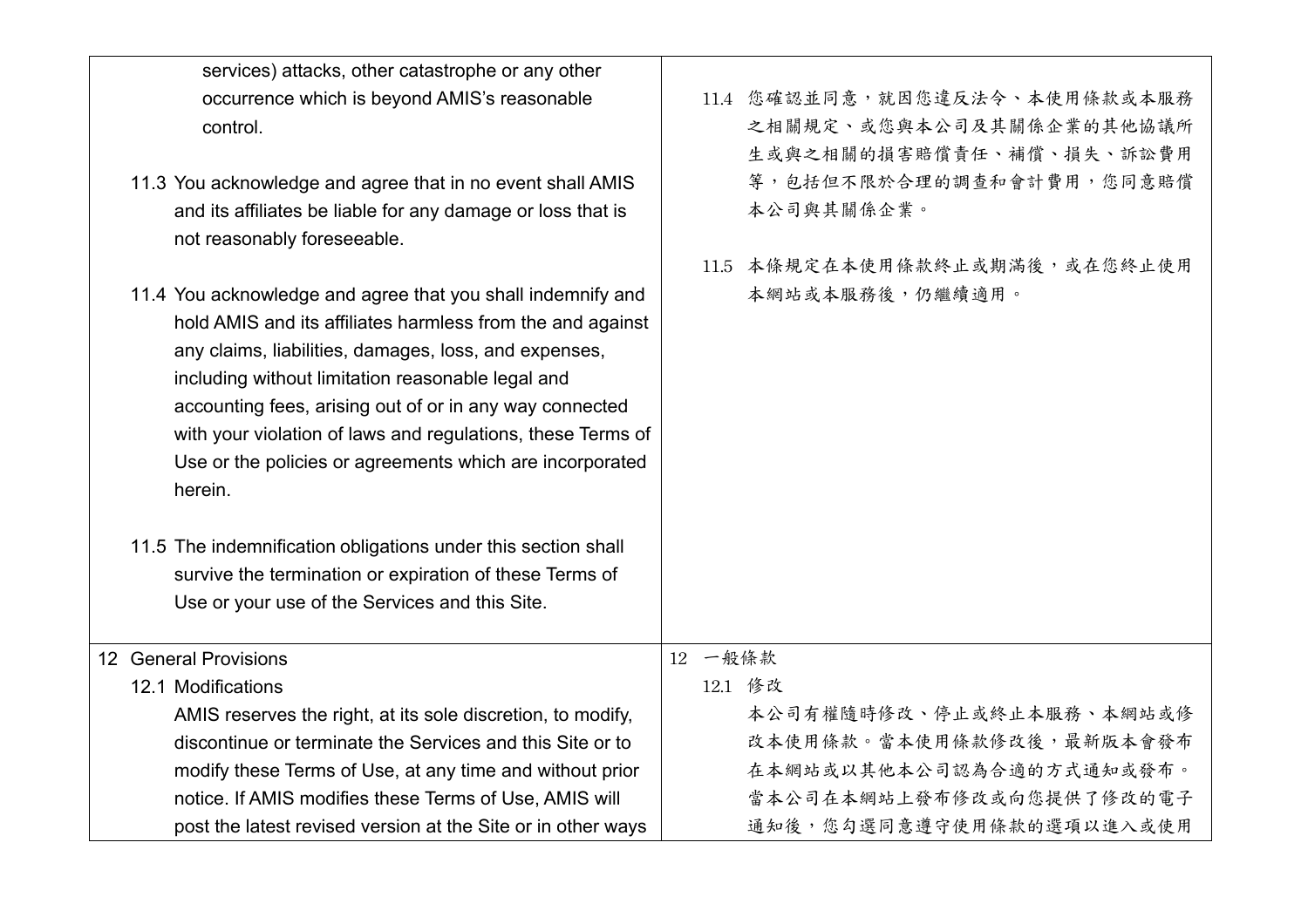| services) attacks, other catastrophe or any other                                                                                                                                                                                                                                                                                                                                                                                        |         |                                                                                       |
|------------------------------------------------------------------------------------------------------------------------------------------------------------------------------------------------------------------------------------------------------------------------------------------------------------------------------------------------------------------------------------------------------------------------------------------|---------|---------------------------------------------------------------------------------------|
| occurrence which is beyond AMIS's reasonable<br>control.                                                                                                                                                                                                                                                                                                                                                                                 |         | 11.4 您確認並同意,就因您違反法令、本使用條款或本服務<br>之相關規定、或您與本公司及其關係企業的其他協議所<br>生或與之相關的損害賠償責任、補償、損失、訴訟費用 |
| 11.3 You acknowledge and agree that in no event shall AMIS<br>and its affiliates be liable for any damage or loss that is<br>not reasonably foreseeable.                                                                                                                                                                                                                                                                                 |         | 等,包括但不限於合理的調查和會計費用,您同意賠償<br>本公司與其關係企業。                                                |
|                                                                                                                                                                                                                                                                                                                                                                                                                                          | 11.5    | 本條規定在本使用條款終止或期滿後,或在您終止使用                                                              |
| 11.4 You acknowledge and agree that you shall indemnify and<br>hold AMIS and its affiliates harmless from the and against<br>any claims, liabilities, damages, loss, and expenses,<br>including without limitation reasonable legal and<br>accounting fees, arising out of or in any way connected<br>with your violation of laws and regulations, these Terms of<br>Use or the policies or agreements which are incorporated<br>herein. |         | 本網站或本服務後,仍繼續適用。                                                                       |
| 11.5 The indemnification obligations under this section shall                                                                                                                                                                                                                                                                                                                                                                            |         |                                                                                       |
| survive the termination or expiration of these Terms of                                                                                                                                                                                                                                                                                                                                                                                  |         |                                                                                       |
| Use or your use of the Services and this Site.                                                                                                                                                                                                                                                                                                                                                                                           |         |                                                                                       |
| 12 General Provisions                                                                                                                                                                                                                                                                                                                                                                                                                    | 12 一般條款 |                                                                                       |
| 12.1 Modifications                                                                                                                                                                                                                                                                                                                                                                                                                       |         | 12.1 修改                                                                               |
| AMIS reserves the right, at its sole discretion, to modify,                                                                                                                                                                                                                                                                                                                                                                              |         | 本公司有權隨時修改、停止或終止本服務、本網站或修                                                              |
| discontinue or terminate the Services and this Site or to                                                                                                                                                                                                                                                                                                                                                                                |         | 改本使用條款。當本使用條款修改後,最新版本會發布                                                              |
| modify these Terms of Use, at any time and without prior                                                                                                                                                                                                                                                                                                                                                                                 |         | 在本網站或以其他本公司認為合適的方式通知或發布。                                                              |
| notice. If AMIS modifies these Terms of Use, AMIS will                                                                                                                                                                                                                                                                                                                                                                                   |         | 當本公司在本網站上發布修改或向您提供了修改的電子                                                              |
| post the latest revised version at the Site or in other ways                                                                                                                                                                                                                                                                                                                                                                             |         | 通知後,您勾選同意遵守使用條款的選項以進入或使用                                                              |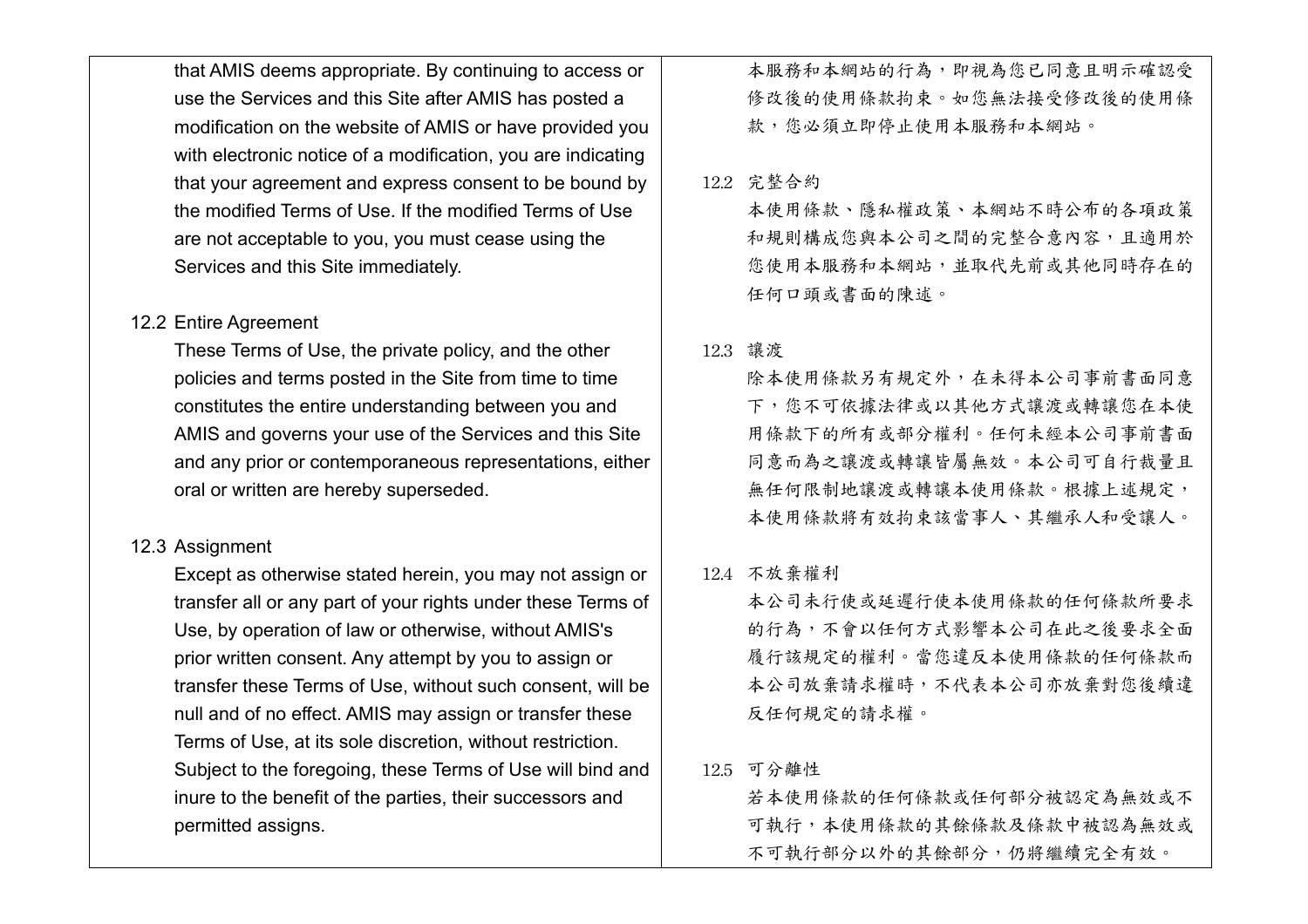that AMIS deems appropriate. By continuing to access or use the Services and this Site after AMIS has posted a modification on the website of AMIS or have provided you with electronic notice of a modification, you are indicating that your agreement and express consent to be bound by the modified Terms of Use. If the modified Terms of Use are not acceptable to you, you must cease using the Services and this Site immediately.

# 12.2 Entire Agreement

These Terms of Use, the private policy, and the other policies and terms posted in the Site from time to time constitutes the entire understanding between you and AMIS and governs your use of the Services and this Site and any prior or contemporaneous representations, either oral or written are hereby superseded.

# 12.3 Assignment

Except as otherwise stated herein, you may not assign or transfer all or any part of your rights under these Terms of Use, by operation of law or otherwise, without AMIS's prior written consent. Any attempt by you to assign or transfer these Terms of Use, without such consent, will be null and of no effect. AMIS may assign or transfer these Terms of Use, at its sole discretion, without restriction. Subject to the foregoing, these Terms of Use will bind and inure to the benefit of the parties, their successors and permitted assigns.

本服務和本網站的行為,即視為您已同意且明示確認受 修改後的使用條款拘束。如您無法接受修改後的使用條 款,您必須立即停止使用本服務和本網站。

# 12.2 完整合約

本使用條款、隱私權政策、本網站不時公布的各項政策 和規則構成您與本公司之間的完整合意內容,且適用於 您使用本服務和本網站,並取代先前或其他同時存在的 任何口頭或書面的陳述。

## 12.3 讓渡

除本使用條款另有規定外,在未得本公司事前書面同意 下,您不可依據法律或以其他方式讓渡或轉讓您在本使 用條款下的所有或部分權利。任何未經本公司事前書面 同意而為之讓渡或轉讓皆屬無效。本公司可自行裁量且 無任何限制地讓渡或轉讓本使用條款。根據上述規定, 本使用條款將有效拘束該當事人、其繼承人和受讓人。

# 12.4 不放棄權利

本公司未行使或延遲行使本使用條款的任何條款所要求 的行為,不會以任何方式影響本公司在此之後要求全面 履行該規定的權利。當您違反本使用條款的任何條款而 本公司放棄請求權時,不代表本公司亦放棄對您後續違 反任何規定的請求權。

# 12.5 可分離性

若本使用條款的任何條款或任何部分被認定為無效或不 可執行,本使用條款的其餘條款及條款中被認為無效或 不可執行部分以外的其餘部分,仍將繼續完全有效。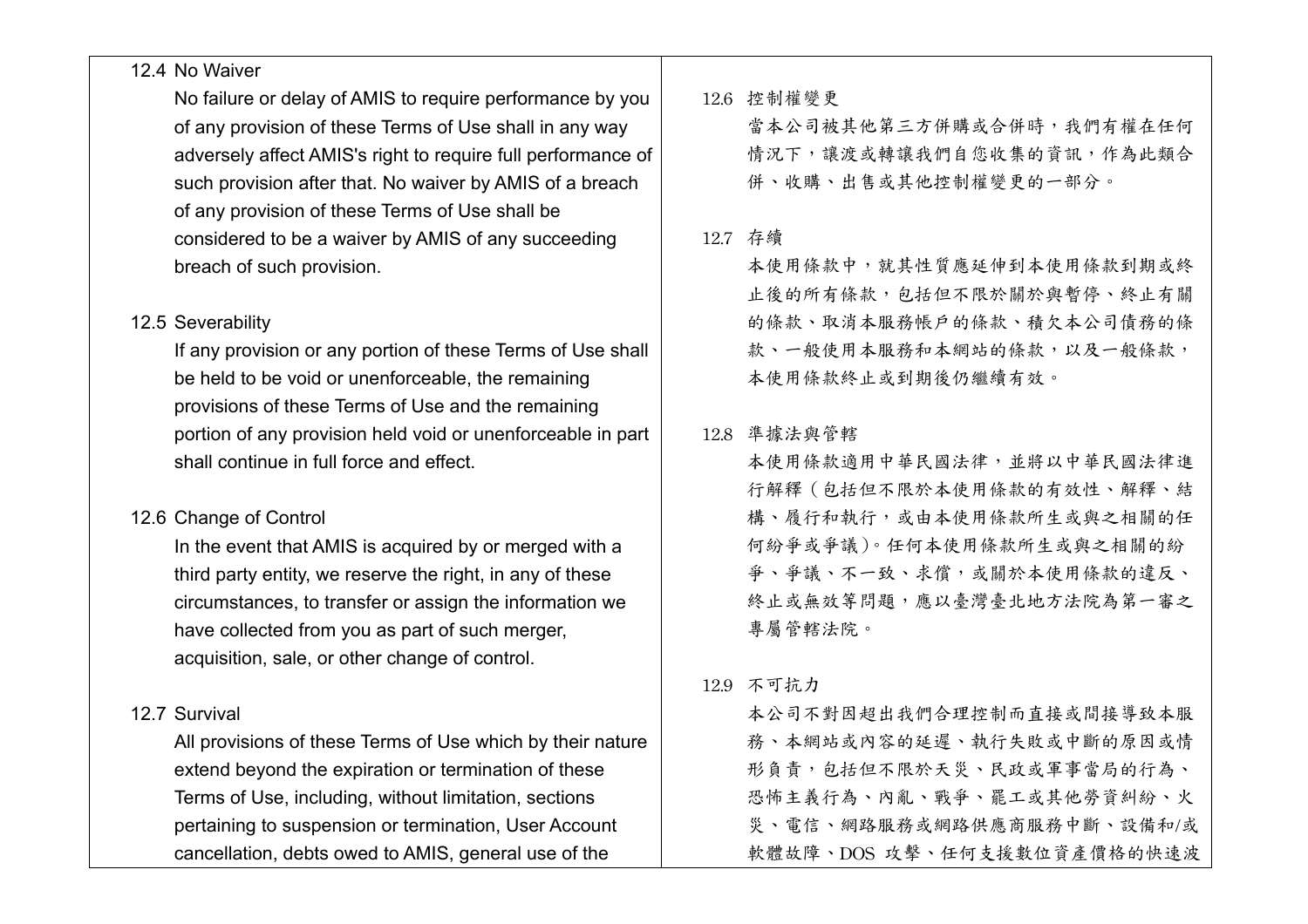# 12.4 No Waiver

No failure or delay of AMIS to require performance by you of any provision of these Terms of Use shall in any way adversely affect AMIS's right to require full performance of such provision after that. No waiver by AMIS of a breach of any provision of these Terms of Use shall be considered to be a waiver by AMIS of any succeeding breach of such provision.

# 12.5 Severability

If any provision or any portion of these Terms of Use shall be held to be void or unenforceable, the remaining provisions of these Terms of Use and the remaining portion of any provision held void or unenforceable in part shall continue in full force and effect.

# 12.6 Change of Control

In the event that AMIS is acquired by or merged with a third party entity, we reserve the right, in any of these circumstances, to transfer or assign the information we have collected from you as part of such merger, acquisition, sale, or other change of control.

# 12.7 Survival

All provisions of these Terms of Use which by their nature extend beyond the expiration or termination of these Terms of Use, including, without limitation, sections pertaining to suspension or termination, User Account cancellation, debts owed to AMIS, general use of the

12.6 控制權變更

當本公司被其他第三方併購或合併時,我們有權在任何 情況下,讓渡或轉讓我們自您收集的資訊,作為此類合 併、收購、出售或其他控制權變更的一部分。

## 12.7 存續

本使用條款中,就其性質應延伸到本使用條款到期或終 止後的所有條款,包括但不限於關於與暫停、終止有關 的條款、取消本服務帳戶的條款、積欠本公司債務的條 款、一般使用本服務和本網站的條款,以及一般條款, 本使用條款終止或到期後仍繼續有效。

## 12.8 準據法與管轄

本使用條款適用中華民國法律,並將以中華民國法律進 行解釋(包括但不限於本使用條款的有效性、解釋、結 構、履行和執行,或由本使用條款所生或與之相關的任 何紛爭或爭議)。任何本使用條款所生或與之相關的紛 爭、爭議、不一致、求償,或關於本使用條款的違反、 終止或無效等問題,應以臺灣臺北地方法院為第一審之 專屬管轄法院。

# 12.9 不可抗力

本公司不對因超出我們合理控制而直接或間接導致本服 務、本網站或內容的延遲、執行失敗或中斷的原因或情 形負責,包括但不限於天災、民政或軍事當局的行為、 恐怖主義行為、內亂、戰爭、罷工或其他勞資糾紛、火 災、電信、網路服務或網路供應商服務中斷、設備和/或 軟體故障、DOS 攻擊、任何支援數位資產價格的快速波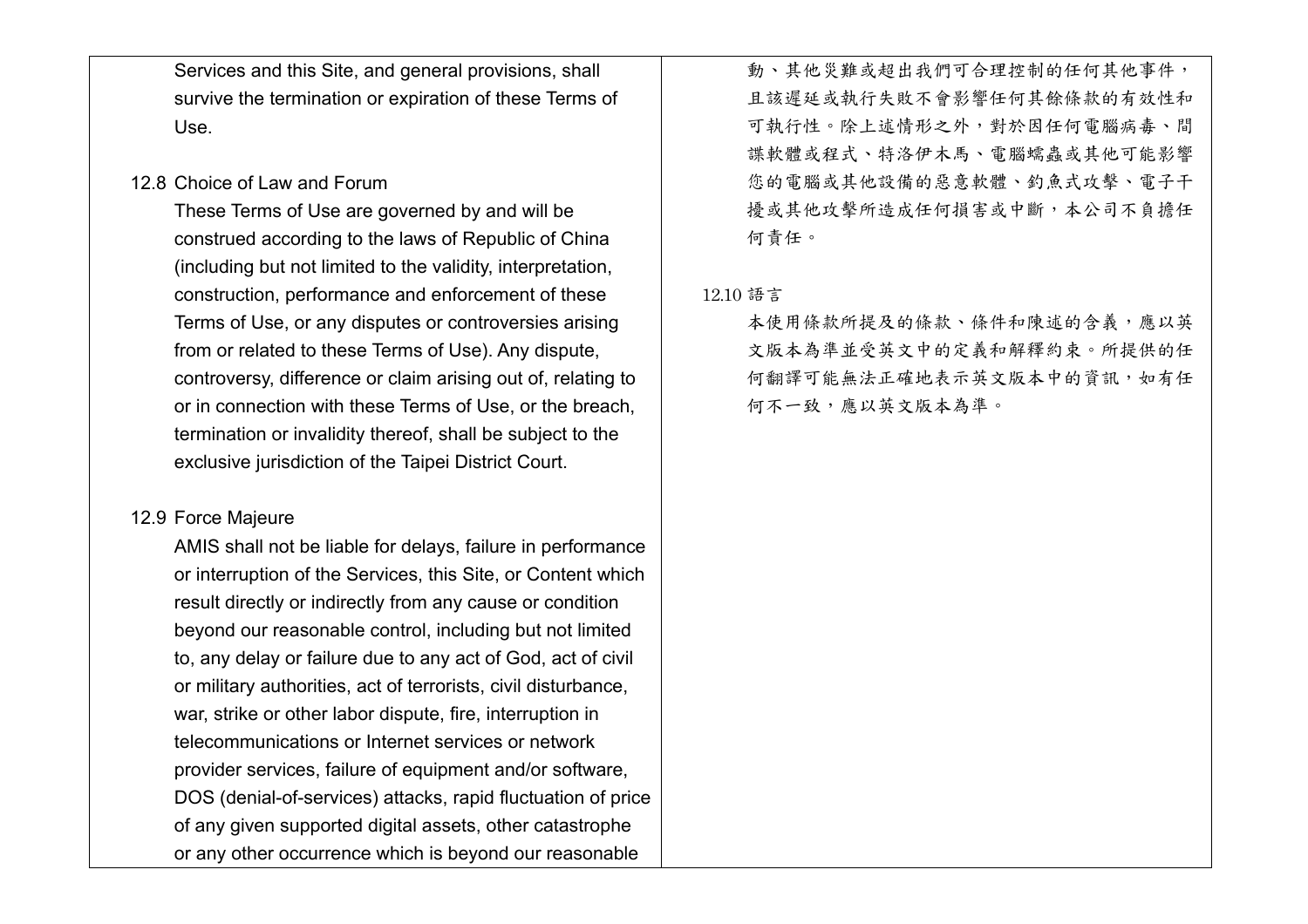Services and this Site, and general provisions, shall survive the termination or expiration of these Terms of Use.

# 12.8 Choice of Law and Forum

These Terms of Use are governed by and will be construed according to the laws of Republic of China (including but not limited to the validity, interpretation, construction, performance and enforcement of these Terms of Use, or any disputes or controversies arising from or related to these Terms of Use). Any dispute, controversy, difference or claim arising out of, relating to or in connection with these Terms of Use, or the breach, termination or invalidity thereof, shall be subject to the exclusive jurisdiction of the Taipei District Court.

# 12.9 Force Majeure

AMIS shall not be liable for delays, failure in performance or interruption of the Services, this Site, or Content which result directly or indirectly from any cause or condition beyond our reasonable control, including but not limited to, any delay or failure due to any act of God, act of civil or military authorities, act of terrorists, civil disturbance, war, strike or other labor dispute, fire, interruption in telecommunications or Internet services or network provider services, failure of equipment and/or software, DOS (denial-of-services) attacks, rapid fluctuation of price of any given supported digital assets, other catastrophe or any other occurrence which is beyond our reasonable

動、其他災難或超出我們可合理控制的任何其他事件, 且該遲延或執行失敗不會影響任何其餘條款的有效性和 可執行性。除上述情形之外,對於因任何電腦病毒、間 諜軟體或程式、特洛伊木馬、電腦蠕蟲或其他可能影響 您的電腦或其他設備的惡意軟體、釣魚式攻擊、電子干 擾或其他攻擊所造成任何損害或中斷,本公司不負擔任 何責任。

#### 12.10 語言

本使用條款所提及的條款、條件和陳述的含義,應以英 文版本為準並受英文中的定義和解釋約束。所提供的任 何翻譯可能無法正確地表示英文版本中的資訊,如有任 何不一致,應以英文版本為準。